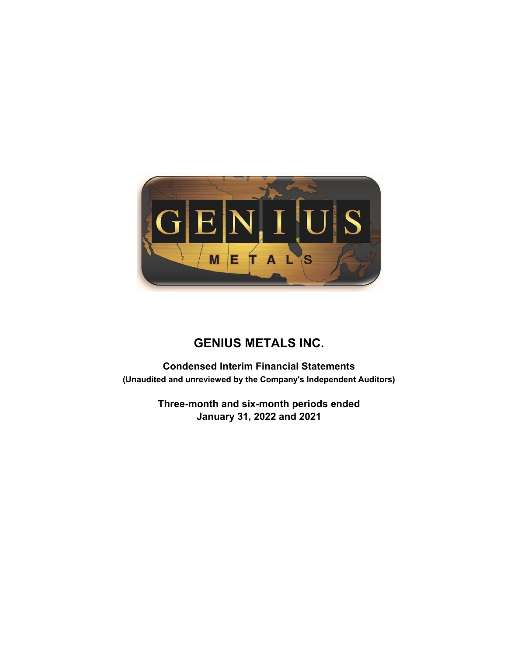

**Condensed Interim Financial Statements (Unaudited and unreviewed by the Company's Independent Auditors)**

> **Three-month and six-month periods ended January 31, 2022 and 2021**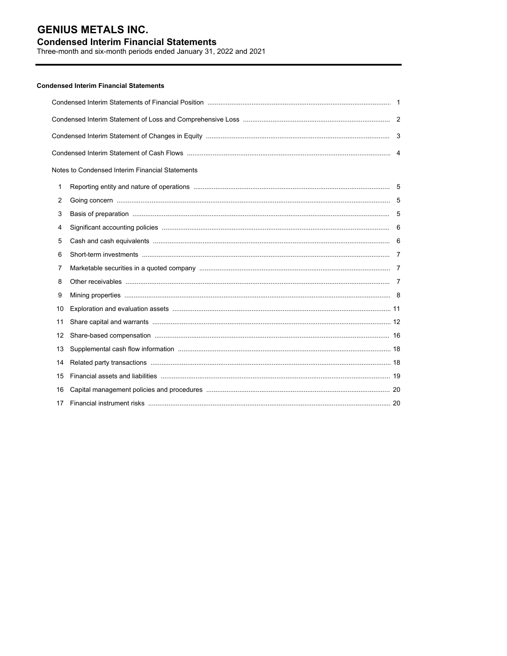## **Condensed Interim Financial Statements**

Three-month and six-month periods ended January 31, 2022 and 2021

## **Condensed Interim Financial Statements**

|    | Notes to Condensed Interim Financial Statements |  |  |  |  |  |  |
|----|-------------------------------------------------|--|--|--|--|--|--|
| 1  |                                                 |  |  |  |  |  |  |
| 2  |                                                 |  |  |  |  |  |  |
| 3  |                                                 |  |  |  |  |  |  |
| 4  |                                                 |  |  |  |  |  |  |
| 5  |                                                 |  |  |  |  |  |  |
| 6  |                                                 |  |  |  |  |  |  |
| 7  |                                                 |  |  |  |  |  |  |
| 8  |                                                 |  |  |  |  |  |  |
| 9  |                                                 |  |  |  |  |  |  |
| 10 |                                                 |  |  |  |  |  |  |
| 11 |                                                 |  |  |  |  |  |  |
| 12 |                                                 |  |  |  |  |  |  |
| 13 |                                                 |  |  |  |  |  |  |
| 14 |                                                 |  |  |  |  |  |  |
| 15 |                                                 |  |  |  |  |  |  |
| 16 |                                                 |  |  |  |  |  |  |
| 17 |                                                 |  |  |  |  |  |  |
|    |                                                 |  |  |  |  |  |  |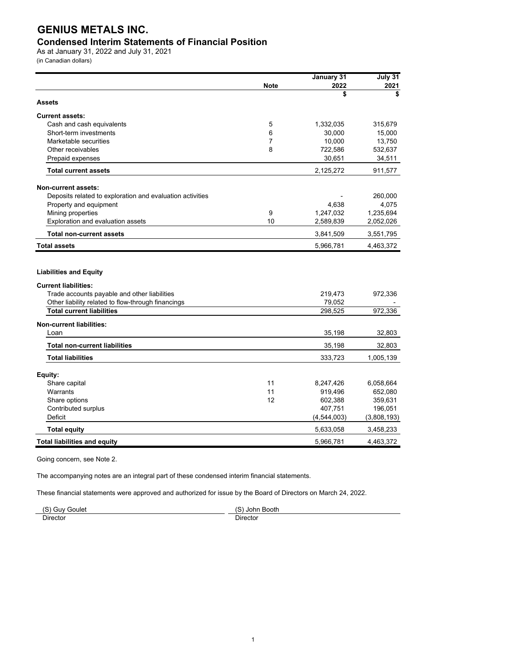## **Condensed Interim Statements of Financial Position**

As at January 31, 2022 and July 31, 2021 (in Canadian dollars)

|                                                              |             | January 31  | July 31     |
|--------------------------------------------------------------|-------------|-------------|-------------|
|                                                              | <b>Note</b> | 2022        | 2021        |
| <b>Assets</b>                                                |             | \$          | \$          |
|                                                              |             |             |             |
| <b>Current assets:</b>                                       |             |             |             |
| Cash and cash equivalents                                    | 5           | 1,332,035   | 315,679     |
| Short-term investments                                       | 6           | 30,000      | 15,000      |
| Marketable securities                                        | 7           | 10,000      | 13,750      |
| Other receivables                                            | 8           | 722,586     | 532,637     |
| Prepaid expenses                                             |             | 30,651      | 34,511      |
| <b>Total current assets</b>                                  |             | 2,125,272   | 911,577     |
| <b>Non-current assets:</b>                                   |             |             |             |
| Deposits related to exploration and evaluation activities    |             |             | 260,000     |
| Property and equipment                                       |             | 4,638       | 4,075       |
| Mining properties                                            | 9           | 1,247,032   | 1,235,694   |
| Exploration and evaluation assets                            | 10          | 2,589,839   | 2,052,026   |
| <b>Total non-current assets</b>                              |             | 3,841,509   | 3,551,795   |
| <b>Total assets</b>                                          |             | 5,966,781   | 4,463,372   |
| <b>Liabilities and Equity</b><br><b>Current liabilities:</b> |             |             |             |
| Trade accounts payable and other liabilities                 |             | 219,473     | 972,336     |
| Other liability related to flow-through financings           |             | 79,052      |             |
| <b>Total current liabilities</b>                             |             | 298,525     | 972,336     |
| <b>Non-current liabilities:</b>                              |             |             |             |
| Loan                                                         |             | 35.198      | 32.803      |
| <b>Total non-current liabilities</b>                         |             | 35,198      | 32,803      |
| <b>Total liabilities</b>                                     |             | 333,723     | 1,005,139   |
| Equity:                                                      |             |             |             |
| Share capital                                                | 11          | 8,247,426   | 6,058,664   |
| Warrants                                                     | 11          | 919,496     | 652,080     |
| Share options                                                | 12          | 602,388     | 359,631     |
| Contributed surplus                                          |             | 407,751     | 196,051     |
| <b>Deficit</b>                                               |             | (4,544,003) | (3,808,193) |
| <b>Total equity</b>                                          |             | 5,633,058   | 3,458,233   |
| <b>Total liabilities and equity</b>                          |             | 5,966,781   | 4,463,372   |

Going concern, see Note 2.

The accompanying notes are an integral part of these condensed interim financial statements.

These financial statements were approved and authorized for issue by the Board of Directors on March 24, 2022.

| $\overline{c}$ | $\sim$ |  |
|----------------|--------|--|
| anule:         | Johr   |  |
| VIIF.          | Booth  |  |
| ~              | . .    |  |
|                | Š      |  |
| - -            | -      |  |
| Jirector       | שוו∟   |  |
|                |        |  |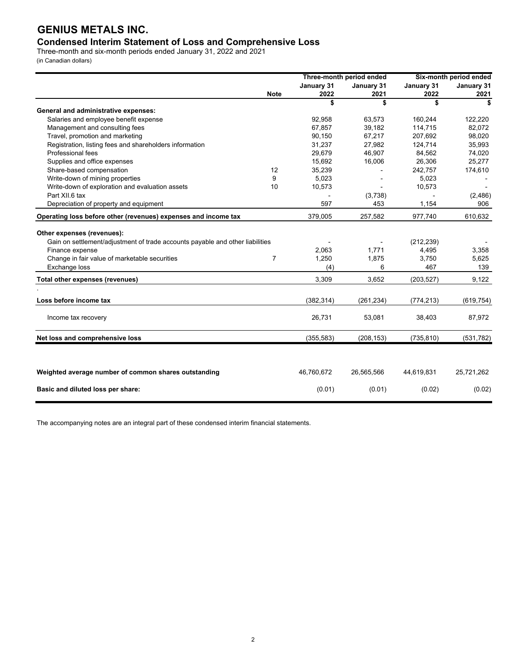## **Condensed Interim Statement of Loss and Comprehensive Loss**

Three-month and six-month periods ended January 31, 2022 and 2021 (in Canadian dollars)

|                                                                               |             |            | Three-month period ended | Six-month period ended |            |  |
|-------------------------------------------------------------------------------|-------------|------------|--------------------------|------------------------|------------|--|
|                                                                               |             | January 31 | January 31               | January 31             | January 31 |  |
|                                                                               | <b>Note</b> | 2022       | 2021                     | 2022                   | 2021       |  |
|                                                                               |             | \$         | \$                       | \$                     | \$         |  |
| General and administrative expenses:                                          |             |            |                          |                        |            |  |
| Salaries and employee benefit expense                                         |             | 92,958     | 63,573                   | 160,244                | 122,220    |  |
| Management and consulting fees                                                |             | 67,857     | 39,182                   | 114,715                | 82,072     |  |
| Travel, promotion and marketing                                               |             | 90,150     | 67,217                   | 207,692                | 98,020     |  |
| Registration, listing fees and shareholders information                       |             | 31,237     | 27,982                   | 124,714                | 35,993     |  |
| Professional fees                                                             |             | 29,679     | 46,907                   | 84,562                 | 74,020     |  |
| Supplies and office expenses                                                  |             | 15,692     | 16,006                   | 26,306                 | 25,277     |  |
| Share-based compensation                                                      | 12          | 35,239     |                          | 242,757                | 174,610    |  |
| Write-down of mining properties                                               | 9           | 5,023      |                          | 5,023                  |            |  |
| Write-down of exploration and evaluation assets                               | 10          | 10,573     |                          | 10,573                 |            |  |
| Part XII.6 tax                                                                |             |            | (3,738)                  |                        | (2,486)    |  |
| Depreciation of property and equipment                                        |             | 597        | 453                      | 1,154                  | 906        |  |
| Operating loss before other (revenues) expenses and income tax                |             | 379,005    | 257,582                  | 977,740                | 610,632    |  |
| Other expenses (revenues):                                                    |             |            |                          |                        |            |  |
| Gain on settlement/adjustment of trade accounts payable and other liabilities |             |            |                          | (212, 239)             |            |  |
| Finance expense                                                               |             | 2,063      | 1,771                    | 4,495                  | 3,358      |  |
| Change in fair value of marketable securities                                 | 7           | 1,250      | 1,875                    | 3,750                  | 5,625      |  |
| Exchange loss                                                                 |             | (4)        | 6                        | 467                    | 139        |  |
| Total other expenses (revenues)                                               |             | 3,309      | 3,652                    | (203, 527)             | 9,122      |  |
|                                                                               |             |            |                          |                        |            |  |
| Loss before income tax                                                        |             | (382, 314) | (261, 234)               | (774, 213)             | (619, 754) |  |
| Income tax recovery                                                           |             | 26,731     | 53,081                   | 38,403                 | 87,972     |  |
| Net loss and comprehensive loss                                               |             | (355, 583) | (208, 153)               | (735, 810)             | (531, 782) |  |
|                                                                               |             |            |                          |                        |            |  |
| Weighted average number of common shares outstanding                          |             | 46,760,672 | 26,565,566               | 44,619,831             | 25,721,262 |  |
| Basic and diluted loss per share:                                             |             | (0.01)     | (0.01)                   | (0.02)                 | (0.02)     |  |

The accompanying notes are an integral part of these condensed interim financial statements.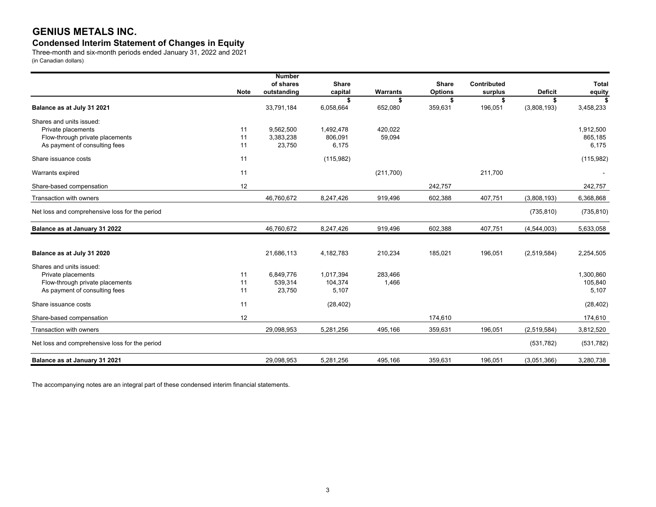## **Condensed Interim Statement of Changes in Equity**

Three-month and six-month periods ended January 31, 2022 and 2021 (in Canadian dollars)

|                                                |             | <b>Number</b> |                 |               |                |                    |                   |              |
|------------------------------------------------|-------------|---------------|-----------------|---------------|----------------|--------------------|-------------------|--------------|
|                                                |             | of shares     | <b>Share</b>    |               | <b>Share</b>   | <b>Contributed</b> |                   | <b>Total</b> |
|                                                | <b>Note</b> | outstanding   | capital         | Warrants      | <b>Options</b> | surplus            | <b>Deficit</b>    | equity       |
| Balance as at July 31 2021                     |             | 33,791,184    | \$<br>6,058,664 | \$<br>652,080 | \$<br>359,631  | \$<br>196,051      | Ŝ.<br>(3,808,193) | 3,458,233    |
| Shares and units issued:                       |             |               |                 |               |                |                    |                   |              |
| Private placements                             | 11          | 9.562.500     | 1,492,478       | 420.022       |                |                    |                   | 1,912,500    |
| Flow-through private placements                | 11          | 3,383,238     | 806,091         | 59,094        |                |                    |                   | 865,185      |
| As payment of consulting fees                  | 11          | 23,750        | 6,175           |               |                |                    |                   | 6,175        |
|                                                |             |               |                 |               |                |                    |                   |              |
| Share issuance costs                           | 11          |               | (115, 982)      |               |                |                    |                   | (115,982)    |
| Warrants expired                               | 11          |               |                 | (211,700)     |                | 211,700            |                   |              |
| Share-based compensation                       | 12          |               |                 |               | 242.757        |                    |                   | 242,757      |
| Transaction with owners                        |             | 46,760,672    | 8,247,426       | 919,496       | 602,388        | 407,751            | (3,808,193)       | 6,368,868    |
| Net loss and comprehensive loss for the period |             |               |                 |               |                |                    | (735, 810)        | (735, 810)   |
| Balance as at January 31 2022                  |             | 46,760,672    | 8,247,426       | 919,496       | 602,388        | 407,751            | (4,544,003)       | 5,633,058    |
|                                                |             |               |                 |               |                |                    |                   |              |
| Balance as at July 31 2020                     |             | 21,686,113    | 4,182,783       | 210,234       | 185,021        | 196,051            | (2,519,584)       | 2,254,505    |
| Shares and units issued:                       |             |               |                 |               |                |                    |                   |              |
| Private placements                             | 11          | 6.849.776     | 1,017,394       | 283,466       |                |                    |                   | 1,300,860    |
| Flow-through private placements                | 11          | 539,314       | 104,374         | 1,466         |                |                    |                   | 105,840      |
| As payment of consulting fees                  | 11          | 23,750        | 5,107           |               |                |                    |                   | 5,107        |
| Share issuance costs                           | 11          |               | (28, 402)       |               |                |                    |                   | (28, 402)    |
| Share-based compensation                       | 12          |               |                 |               | 174,610        |                    |                   | 174,610      |
| Transaction with owners                        |             | 29,098,953    | 5,281,256       | 495,166       | 359,631        | 196,051            | (2,519,584)       | 3,812,520    |
| Net loss and comprehensive loss for the period |             |               |                 |               |                |                    | (531, 782)        | (531, 782)   |
| Balance as at January 31 2021                  |             | 29,098,953    | 5,281,256       | 495,166       | 359,631        | 196,051            | (3,051,366)       | 3,280,738    |

The accompanying notes are an integral part of these condensed interim financial statements.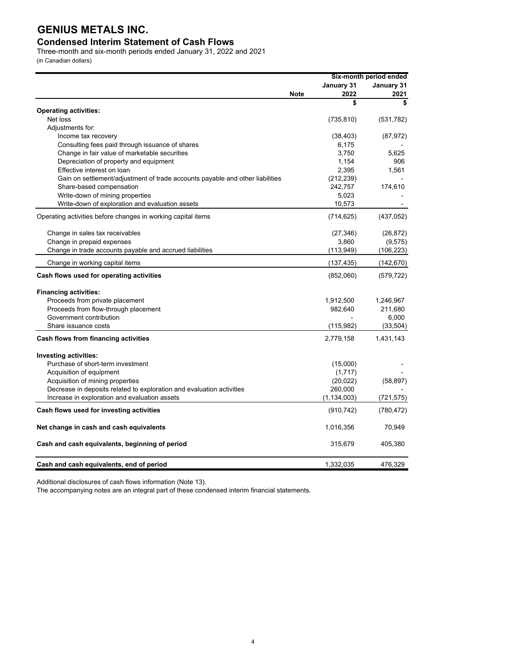## **Condensed Interim Statement of Cash Flows**

Three-month and six-month periods ended January 31, 2022 and 2021

(in Canadian dollars)

|                                                                                         |             |                | Six-month period ended |
|-----------------------------------------------------------------------------------------|-------------|----------------|------------------------|
|                                                                                         |             | January 31     | January 31             |
|                                                                                         | <b>Note</b> | 2022           | 2021                   |
|                                                                                         |             | \$             | \$                     |
| <b>Operating activities:</b><br>Net loss                                                |             |                |                        |
|                                                                                         |             | (735, 810)     | (531, 782)             |
| Adjustments for:<br>Income tax recovery                                                 |             | (38, 403)      |                        |
|                                                                                         |             | 6,175          | (87, 972)              |
| Consulting fees paid through issuance of shares                                         |             |                |                        |
| Change in fair value of marketable securities<br>Depreciation of property and equipment |             | 3,750<br>1,154 | 5,625<br>906           |
| Effective interest on loan                                                              |             |                |                        |
|                                                                                         |             | 2,395          | 1,561                  |
| Gain on settlement/adjustment of trade accounts payable and other liabilities           |             | (212, 239)     |                        |
| Share-based compensation                                                                |             | 242,757        | 174,610                |
| Write-down of mining properties                                                         |             | 5,023          |                        |
| Write-down of exploration and evaluation assets                                         |             | 10,573         |                        |
| Operating activities before changes in working capital items                            |             | (714, 625)     | (437, 052)             |
| Change in sales tax receivables                                                         |             | (27, 346)      | (26, 872)              |
| Change in prepaid expenses                                                              |             | 3,860          | (9, 575)               |
| Change in trade accounts payable and accrued liabilities                                |             | (113, 949)     | (106, 223)             |
| Change in working capital items                                                         |             | (137, 435)     | (142, 670)             |
| Cash flows used for operating activities                                                |             | (852,060)      | (579, 722)             |
| <b>Financing activities:</b>                                                            |             |                |                        |
| Proceeds from private placement                                                         |             | 1,912,500      | 1,246,967              |
| Proceeds from flow-through placement                                                    |             | 982,640        | 211,680                |
| Government contribution                                                                 |             |                | 6,000                  |
| Share issuance costs                                                                    |             | (115,982)      | (33, 504)              |
| Cash flows from financing activities                                                    |             | 2,779,158      | 1,431,143              |
| Investing activities:                                                                   |             |                |                        |
| Purchase of short-term investment                                                       |             | (15,000)       |                        |
| Acquisition of equipment                                                                |             | (1,717)        |                        |
| Acquisition of mining properties                                                        |             | (20, 022)      | (58, 897)              |
| Decrease in deposits related to exploration and evaluation activities                   |             | 260,000        |                        |
| Increase in exploration and evaluation assets                                           |             | (1, 134, 003)  | (721, 575)             |
|                                                                                         |             |                |                        |
| Cash flows used for investing activities                                                |             | (910, 742)     | (780, 472)             |
| Net change in cash and cash equivalents                                                 |             | 1,016,356      | 70,949                 |
| Cash and cash equivalents, beginning of period                                          |             | 315,679        | 405,380                |
| Cash and cash equivalents, end of period                                                |             | 1,332,035      | 476,329                |

Additional disclosures of cash flows information (Note 13).

The accompanying notes are an integral part of these condensed interim financial statements.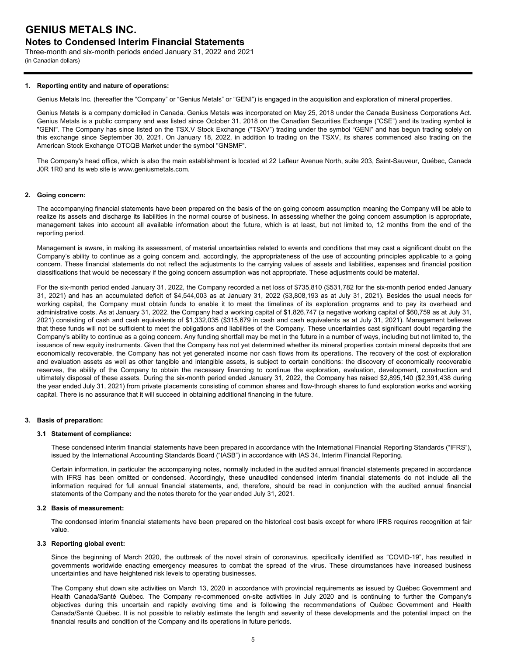## **Notes to Condensed Interim Financial Statements**

Three-month and six-month periods ended January 31, 2022 and 2021 (in Canadian dollars)

## **1. Reporting entity and nature of operations:**

Genius Metals Inc. (hereafter the "Company" or "Genius Metals" or "GENI") is engaged in the acquisition and exploration of mineral properties.

Genius Metals is a company domiciled in Canada. Genius Metals was incorporated on May 25, 2018 under the Canada Business Corporations Act. Genius Metals is a public company and was listed since October 31, 2018 on the Canadian Securities Exchange ("CSE") and its trading symbol is "GENI". The Company has since listed on the TSX.V Stock Exchange ("TSXV") trading under the symbol "GENI" and has begun trading solely on this exchange since September 30, 2021. On January 18, 2022, in addition to trading on the TSXV, its shares commenced also trading on the American Stock Exchange OTCQB Market under the symbol "GNSMF".

The Company's head office, which is also the main establishment is located at 22 Lafleur Avenue North, suite 203, Saint-Sauveur, Québec, Canada J0R 1R0 and its web site is www.geniusmetals.com.

### **2. Going concern:**

The accompanying financial statements have been prepared on the basis of the on going concern assumption meaning the Company will be able to realize its assets and discharge its liabilities in the normal course of business. In assessing whether the going concern assumption is appropriate, management takes into account all available information about the future, which is at least, but not limited to, 12 months from the end of the reporting period.

Management is aware, in making its assessment, of material uncertainties related to events and conditions that may cast a significant doubt on the Company's ability to continue as a going concern and, accordingly, the appropriateness of the use of accounting principles applicable to a going concern. These financial statements do not reflect the adjustments to the carrying values of assets and liabilities, expenses and financial position classifications that would be necessary if the going concern assumption was not appropriate. These adjustments could be material.

For the six-month period ended January 31, 2022, the Company recorded a net loss of \$735,810 (\$531,782 for the six-month period ended January 31, 2021) and has an accumulated deficit of \$4,544,003 as at January 31, 2022 (\$3,808,193 as at July 31, 2021). Besides the usual needs for working capital, the Company must obtain funds to enable it to meet the timelines of its exploration programs and to pay its overhead and administrative costs. As at January 31, 2022, the Company had a working capital of \$1,826,747 (a negative working capital of \$60,759 as at July 31, 2021) consisting of cash and cash equivalents of \$1,332,035 (\$315,679 in cash and cash equivalents as at July 31, 2021). Management believes that these funds will not be sufficient to meet the obligations and liabilities of the Company. These uncertainties cast significant doubt regarding the Company's ability to continue as a going concern. Any funding shortfall may be met in the future in a number of ways, including but not limited to, the issuance of new equity instruments. Given that the Company has not yet determined whether its mineral properties contain mineral deposits that are economically recoverable, the Company has not yet generated income nor cash flows from its operations. The recovery of the cost of exploration and evaluation assets as well as other tangible and intangible assets, is subject to certain conditions: the discovery of economically recoverable reserves, the ability of the Company to obtain the necessary financing to continue the exploration, evaluation, development, construction and ultimately disposal of these assets. During the six-month period ended January 31, 2022, the Company has raised \$2,895,140 (\$2,391,438 during the year ended July 31, 2021) from private placements consisting of common shares and flow-through shares to fund exploration works and working capital. There is no assurance that it will succeed in obtaining additional financing in the future.

## **3. Basis of preparation:**

#### **3.1 Statement of compliance:**

These condensed interim financial statements have been prepared in accordance with the International Financial Reporting Standards ("IFRS"), issued by the International Accounting Standards Board ("IASB") in accordance with IAS 34, Interim Financial Reporting.

Certain information, in particular the accompanying notes, normally included in the audited annual financial statements prepared in accordance with IFRS has been omitted or condensed. Accordingly, these unaudited condensed interim financial statements do not include all the information required for full annual financial statements, and, therefore, should be read in conjunction with the audited annual financial statements of the Company and the notes thereto for the year ended July 31, 2021.

#### **3.2 Basis of measurement:**

The condensed interim financial statements have been prepared on the historical cost basis except for where IFRS requires recognition at fair value.

#### **3.3 Reporting global event:**

Since the beginning of March 2020, the outbreak of the novel strain of coronavirus, specifically identified as "COVID-19", has resulted in governments worldwide enacting emergency measures to combat the spread of the virus. These circumstances have increased business uncertainties and have heightened risk levels to operating businesses.

The Company shut down site activities on March 13, 2020 in accordance with provincial requirements as issued by Québec Government and Health Canada/Santé Québec. The Company re-commenced on-site activities in July 2020 and is continuing to further the Company's objectives during this uncertain and rapidly evolving time and is following the recommendations of Québec Government and Health Canada/Santé Québec. It is not possible to reliably estimate the length and severity of these developments and the potential impact on the financial results and condition of the Company and its operations in future periods.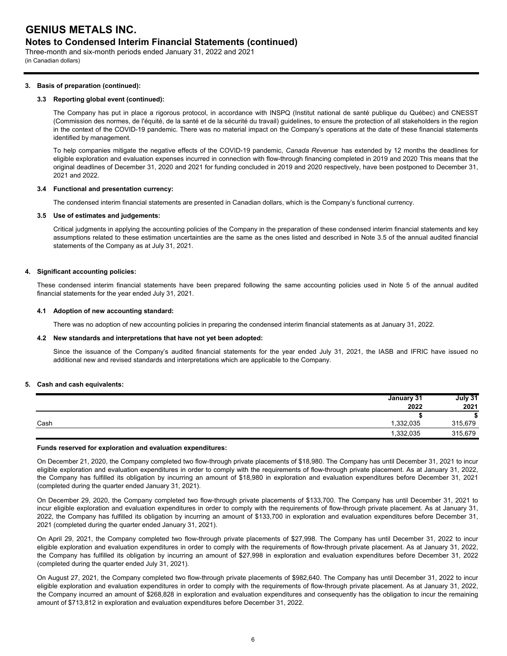## **Notes to Condensed Interim Financial Statements (continued)**

Three-month and six-month periods ended January 31, 2022 and 2021 (in Canadian dollars)

### **3. Basis of preparation (continued):**

## **3.3 Reporting global event (continued):**

The Company has put in place a rigorous protocol, in accordance with INSPQ (Institut national de santé publique du Québec) and CNESST (Commission des normes, de l'équité, de la santé et de la sécurité du travail) guidelines, to ensure the protection of all stakeholders in the region in the context of the COVID-19 pandemic. There was no material impact on the Company's operations at the date of these financial statements identified by management.

To help companies mitigate the negative effects of the COVID-19 pandemic, *Canada Revenue* has extended by 12 months the deadlines for eligible exploration and evaluation expenses incurred in connection with flow-through financing completed in 2019 and 2020 This means that the original deadlines of December 31, 2020 and 2021 for funding concluded in 2019 and 2020 respectively, have been postponed to December 31, 2021 and 2022.

## **3.4 Functional and presentation currency:**

The condensed interim financial statements are presented in Canadian dollars, which is the Company's functional currency.

### **3.5 Use of estimates and judgements:**

Critical judgments in applying the accounting policies of the Company in the preparation of these condensed interim financial statements and key assumptions related to these estimation uncertainties are the same as the ones listed and described in Note 3.5 of the annual audited financial statements of the Company as at July 31, 2021.

### **4. Significant accounting policies:**

These condensed interim financial statements have been prepared following the same accounting policies used in Note 5 of the annual audited financial statements for the year ended July 31, 2021.

### **4.1 Adoption of new accounting standard:**

There was no adoption of new accounting policies in preparing the condensed interim financial statements as at January 31, 2022.

#### **4.2 New standards and interpretations that have not yet been adopted:**

Since the issuance of the Company's audited financial statements for the year ended July 31, 2021, the IASB and IFRIC have issued no additional new and revised standards and interpretations which are applicable to the Company.

#### **5. Cash and cash equivalents:**

|      | January 31 | July 31   |
|------|------------|-----------|
|      | 2022       | 2021      |
|      |            | œ<br>- 10 |
| Cash | 332,035    | 315,679   |
|      | 1,332,035  | 315,679   |

#### **Funds reserved for exploration and evaluation expenditures:**

On December 21, 2020, the Company completed two flow-through private placements of \$18,980. The Company has until December 31, 2021 to incur eligible exploration and evaluation expenditures in order to comply with the requirements of flow-through private placement. As at January 31, 2022, the Company has fulfilled its obligation by incurring an amount of \$18,980 in exploration and evaluation expenditures before December 31, 2021 (completed during the quarter ended January 31, 2021).

On December 29, 2020, the Company completed two flow-through private placements of \$133,700. The Company has until December 31, 2021 to incur eligible exploration and evaluation expenditures in order to comply with the requirements of flow-through private placement. As at January 31, 2022, the Company has fulfilled its obligation by incurring an amount of \$133,700 in exploration and evaluation expenditures before December 31, 2021 (completed during the quarter ended January 31, 2021).

On April 29, 2021, the Company completed two flow-through private placements of \$27,998. The Company has until December 31, 2022 to incur eligible exploration and evaluation expenditures in order to comply with the requirements of flow-through private placement. As at January 31, 2022, the Company has fulfilled its obligation by incurring an amount of \$27,998 in exploration and evaluation expenditures before December 31, 2022 (completed during the quarter ended July 31, 2021).

On August 27, 2021, the Company completed two flow-through private placements of \$982,640. The Company has until December 31, 2022 to incur eligible exploration and evaluation expenditures in order to comply with the requirements of flow-through private placement. As at January 31, 2022, the Company incurred an amount of \$268,828 in exploration and evaluation expenditures and consequently has the obligation to incur the remaining amount of \$713,812 in exploration and evaluation expenditures before December 31, 2022.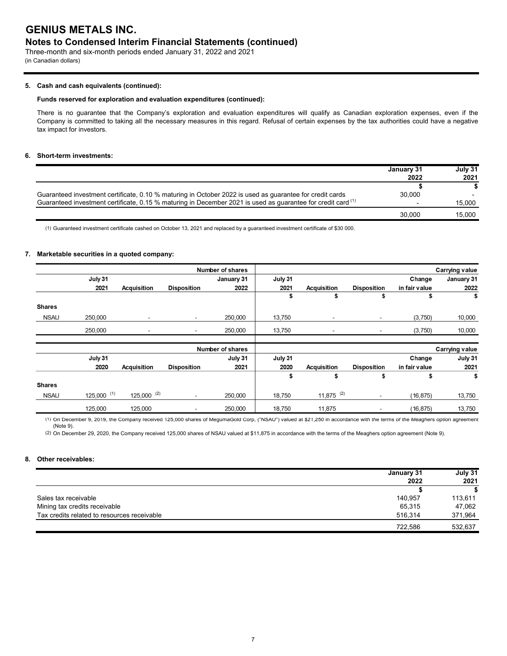## **Notes to Condensed Interim Financial Statements (continued)**

Three-month and six-month periods ended January 31, 2022 and 2021 (in Canadian dollars)

## **5. Cash and cash equivalents (continued):**

### **Funds reserved for exploration and evaluation expenditures (continued):**

There is no guarantee that the Company's exploration and evaluation expenditures will qualify as Canadian exploration expenses, even if the Company is committed to taking all the necessary measures in this regard. Refusal of certain expenses by the tax authorities could have a negative tax impact for investors.

## **6. Short-term investments:**

|                                                                                                                         | January 31 | July 31 |
|-------------------------------------------------------------------------------------------------------------------------|------------|---------|
|                                                                                                                         | 2022       | 2021    |
|                                                                                                                         |            |         |
| Guaranteed investment certificate, 0.10 % maturing in October 2022 is used as guarantee for credit cards                | 30.000     |         |
| Guaranteed investment certificate, 0.15 % maturing in December 2021 is used as guarantee for credit card <sup>(1)</sup> |            | 15.000  |
|                                                                                                                         | 30.000     | 15.000  |

(1) Guaranteed investment certificate cashed on October 13, 2021 and replaced by a guaranteed investment certificate of \$30 000.

## **7. Marketable securities in a quoted company:**

|               |                 |                          |                          | <b>Number of shares</b> |         |                          |                              |               | <b>Carrying value</b> |
|---------------|-----------------|--------------------------|--------------------------|-------------------------|---------|--------------------------|------------------------------|---------------|-----------------------|
|               | July 31         |                          |                          | January 31              | July 31 |                          |                              | Change        | January 31            |
|               | 2021            | Acquisition              | <b>Disposition</b>       | 2022                    | 2021    | <b>Acquisition</b>       | <b>Disposition</b>           | in fair value | 2022                  |
|               |                 |                          |                          |                         | \$      | \$                       | \$                           | \$            | \$                    |
| <b>Shares</b> |                 |                          |                          |                         |         |                          |                              |               |                       |
| <b>NSAU</b>   | 250,000         | $\overline{\phantom{a}}$ | $\overline{\phantom{a}}$ | 250,000                 | 13,750  | ٠                        | $\overline{\phantom{a}}$     | (3,750)       | 10,000                |
|               | 250,000         | $\overline{\phantom{0}}$ | $\overline{\phantom{a}}$ | 250,000                 | 13,750  | $\overline{\phantom{a}}$ | ٠                            | (3,750)       | 10,000                |
|               |                 |                          |                          |                         |         |                          |                              |               |                       |
|               |                 |                          |                          | <b>Number of shares</b> |         |                          |                              |               | <b>Carrying value</b> |
|               | July 31         |                          |                          | July 31                 | July 31 |                          |                              | Change        | July 31               |
|               | 2020            | Acquisition              | <b>Disposition</b>       | 2021                    | 2020    | <b>Acquisition</b>       | <b>Disposition</b>           | in fair value | 2021                  |
|               |                 |                          |                          |                         | \$      | \$                       | \$                           | \$            | \$                    |
| <b>Shares</b> |                 |                          |                          |                         |         |                          |                              |               |                       |
| <b>NSAU</b>   | $125,000^{(1)}$ | $125,000^{(2)}$          | $\overline{\phantom{a}}$ | 250,000                 | 18,750  | $11,875$ <sup>(2)</sup>  | $\overline{\phantom{a}}$     | (16, 875)     | 13,750                |
|               | 125,000         | 125,000                  | $\overline{\phantom{a}}$ | 250,000                 | 18,750  | 11,875                   | $\qquad \qquad \blacksquare$ | (16, 875)     | 13,750                |

(1) On December 9, 2019, the Company received 125,000 shares of MegumaGold Corp, ("NSAU") valued at \$21,250 in accordance with the terms of the Meaghers option agreement (Note 9).

(2) On December 29, 2020, the Company received 125,000 shares of NSAU valued at \$11,875 in accordance with the terms of the Meaghers option agreement (Note 9).

## **8. Other receivables:**

|                                             | January 31 | July 31 |
|---------------------------------------------|------------|---------|
|                                             | 2022       | 2021    |
|                                             |            |         |
| Sales tax receivable                        | 140.957    | 113,611 |
| Mining tax credits receivable               | 65.315     | 47,062  |
| Tax credits related to resources receivable | 516.314    | 371,964 |
|                                             | 722.586    | 532.637 |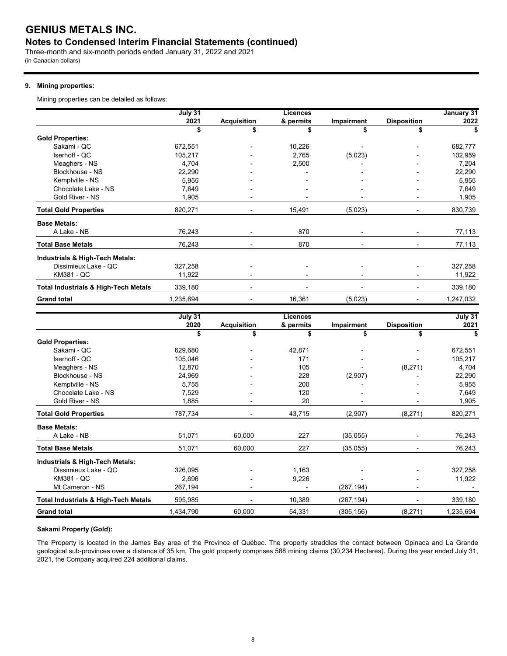## **Notes to Condensed Interim Financial Statements (continued)**

Three-month and six-month periods ended January 31, 2022 and 2021 (in Canadian dollars)

## **9. Mining properties:**

Mining properties can be detailed as follows:

|                                                 | July 31   |                    | <b>Licences</b> |                          |                    | January 31     |
|-------------------------------------------------|-----------|--------------------|-----------------|--------------------------|--------------------|----------------|
|                                                 | 2021      | <b>Acquisition</b> | & permits       | Impairment               | <b>Disposition</b> | 2022           |
|                                                 | \$        | \$                 | \$              | \$                       | \$                 | \$             |
| <b>Gold Properties:</b>                         |           |                    |                 |                          |                    |                |
| Sakami - QC                                     | 672,551   |                    | 10,226          |                          |                    | 682,777        |
| Iserhoff - QC                                   | 105,217   |                    | 2,765           | (5,023)                  |                    | 102,959        |
| Meaghers - NS                                   | 4,704     |                    | 2,500           |                          |                    | 7,204          |
| Blockhouse - NS                                 | 22,290    |                    |                 |                          |                    | 22,290         |
| Kemptville - NS                                 | 5,955     |                    |                 |                          |                    | 5,955          |
| Chocolate Lake - NS                             | 7,649     |                    |                 |                          |                    | 7,649          |
| Gold River - NS                                 | 1,905     |                    |                 |                          |                    | 1,905          |
| <b>Total Gold Properties</b>                    | 820,271   |                    | 15,491          | (5,023)                  |                    | 830,739        |
| <b>Base Metals:</b>                             |           |                    |                 |                          |                    |                |
| A Lake - NB                                     | 76,243    | L,                 | 870             | $\overline{\phantom{a}}$ |                    | 77,113         |
| <b>Total Base Metals</b>                        | 76.243    | $\blacksquare$     | 870             |                          |                    | 77,113         |
| Industrials & High-Tech Metals:                 |           |                    |                 |                          |                    |                |
| Dissimieux Lake - QC                            | 327,258   |                    |                 |                          |                    | 327,258        |
| KM381 - QC                                      | 11,922    |                    |                 |                          |                    | 11,922         |
| <b>Total Industrials &amp; High-Tech Metals</b> | 339,180   |                    |                 |                          |                    | 339,180        |
| <b>Grand total</b>                              | 1,235,694 |                    | 16,361          | (5,023)                  |                    | 1,247,032      |
|                                                 | July 31   |                    | <b>Licences</b> |                          |                    | <b>July 31</b> |
|                                                 | 2020      | <b>Acquisition</b> | & permits       | Impairment               | <b>Disposition</b> | 2021           |
|                                                 | \$        | \$                 | \$              | \$                       | \$                 | \$             |
| <b>Gold Properties:</b>                         |           |                    |                 |                          |                    |                |
| Sakami - QC                                     | 629,680   |                    | 42,871          |                          |                    | 672,551        |
| Iserhoff - QC                                   | 105,046   |                    | 171             |                          |                    | 105,217        |
| Meaghers - NS                                   | 12.870    |                    | 105             |                          | (8,271)            | 4,704          |
| Blockhouse - NS                                 | 24,969    |                    | 228             | (2,907)                  |                    | 22,290         |
| Kemptville - NS                                 | 5,755     |                    | 200             |                          |                    | 5,955          |
| Chocolate Lake - NS                             | 7,529     |                    | 120             |                          |                    | 7,649          |
| Gold River - NS                                 | 1,885     |                    | 20              |                          |                    | 1,905          |

| <b>Total Gold Properties</b>         | 787,734   |        | 43,715 | (2,907)   | (8,271)                  | 820,271   |
|--------------------------------------|-----------|--------|--------|-----------|--------------------------|-----------|
| <b>Base Metals:</b>                  |           |        |        |           |                          |           |
| A Lake - NB                          | 51.071    | 60.000 | 227    | (35,055)  |                          | 76,243    |
| Total Base Metals                    | 51,071    | 60.000 | 227    | (35,055)  | $\overline{\phantom{0}}$ | 76,243    |
| Industrials & High-Tech Metals:      |           |        |        |           |                          |           |
| Dissimieux Lake - QC                 | 326.095   |        | 1.163  |           | -                        | 327,258   |
| KM381 - QC                           | 2.696     |        | 9,226  |           |                          | 11,922    |
| Mt Cameron - NS                      | 267,194   |        |        | (267,194) |                          |           |
| Total Industrials & High-Tech Metals | 595.985   |        | 10,389 | (267,194) |                          | 339,180   |
| <b>Grand total</b>                   | 1,434,790 | 60.000 | 54,331 | (305,156) | (8,271)                  | 1,235,694 |

## **Sakami Property (Gold):**

The Property is located in the James Bay area of the Province of Québec. The property straddles the contact between Opinaca and La Grande geological sub-provinces over a distance of 35 km. The gold property comprises 588 mining claims (30,234 Hectares). During the year ended July 31, 2021, the Company acquired 224 additional claims.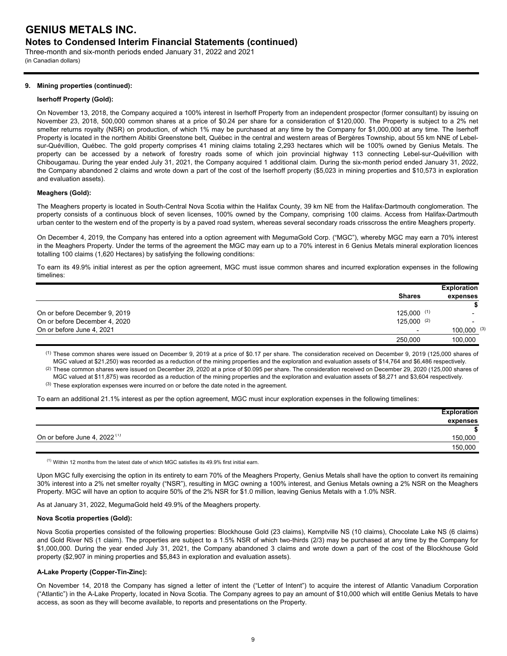Three-month and six-month periods ended January 31, 2022 and 2021 (in Canadian dollars)

## **9. Mining properties (continued):**

## **Iserhoff Property (Gold):**

On November 13, 2018, the Company acquired a 100% interest in Iserhoff Property from an independent prospector (former consultant) by issuing on November 23, 2018, 500,000 common shares at a price of \$0.24 per share for a consideration of \$120,000. The Property is subject to a 2% net smelter returns royalty (NSR) on production, of which 1% may be purchased at any time by the Company for \$1,000,000 at any time. The Iserhoff Property is located in the northern Abitibi Greenstone belt, Québec in the central and western areas of Bergères Township, about 55 km NNE of Lebelsur-Quévillion, Québec. The gold property comprises 41 mining claims totaling 2,293 hectares which will be 100% owned by Genius Metals. The property can be accessed by a network of forestry roads some of which join provincial highway 113 connecting Lebel-sur-Quévillion with Chibougamau. During the year ended July 31, 2021, the Company acquired 1 additional claim. During the six-month period ended January 31, 2022, the Company abandoned 2 claims and wrote down a part of the cost of the Iserhoff property (\$5,023 in mining properties and \$10,573 in exploration and evaluation assets).

## **Meaghers (Gold):**

The Meaghers property is located in South-Central Nova Scotia within the Halifax County, 39 km NE from the Halifax-Dartmouth conglomeration. The property consists of a continuous block of seven licenses, 100% owned by the Company, comprising 100 claims. Access from Halifax-Dartmouth urban center to the western end of the property is by a paved road system, whereas several secondary roads crisscross the entire Meaghers property.

On December 4, 2019, the Company has entered into a option agreement with MegumaGold Corp. ("MGC"), whereby MGC may earn a 70% interest in the Meaghers Property. Under the terms of the agreement the MGC may earn up to a 70% interest in 6 Genius Metals mineral exploration licences totalling 100 claims (1,620 Hectares) by satisfying the following conditions:

To earn its 49.9% initial interest as per the option agreement, MGC must issue common shares and incurred exploration expenses in the following timelines:

|                               |                          | <b>Exploration</b> |
|-------------------------------|--------------------------|--------------------|
|                               | <b>Shares</b>            | expenses           |
|                               |                          |                    |
| On or before December 9, 2019 | $125,000$ (1)            |                    |
| On or before December 4, 2020 | $125,000$ (2)            |                    |
| On or before June 4, 2021     | $\overline{\phantom{0}}$ | $100,000$ (3)      |
|                               | 250,000                  | 100,000            |

(1) These common shares were issued on December 9, 2019 at a price of \$0.17 per share. The consideration received on December 9, 2019 (125,000 shares of MGC valued at \$21,250) was recorded as a reduction of the mining properties and the exploration and evaluation assets of \$14,764 and \$6,486 respectively.

 $^{(2)}$  These common shares were issued on December 29, 2020 at a price of \$0.095 per share. The consideration received on December 29, 2020 (125,000 shares of  $(3)$  These exploration expenses were incurred on or before the date noted in the agreement. MGC valued at \$11,875) was recorded as a reduction of the mining properties and the exploration and evaluation assets of \$8,271 and \$3,604 respectively.

To earn an additional 21.1% interest as per the option agreement, MGC must incur exploration expenses in the following timelines:

|                                          | <b>Exploration</b> |
|------------------------------------------|--------------------|
|                                          | expenses           |
|                                          |                    |
| On or before June 4, 2022 <sup>(1)</sup> | 150,000            |
|                                          | 150,000            |

 $^{(1)}$  Within 12 months from the latest date of which MGC satisfies its 49.9% first initial earn.

Upon MGC fully exercising the option in its entirety to earn 70% of the Meaghers Property, Genius Metals shall have the option to convert its remaining 30% interest into a 2% net smelter royalty ("NSR"), resulting in MGC owning a 100% interest, and Genius Metals owning a 2% NSR on the Meaghers Property. MGC will have an option to acquire 50% of the 2% NSR for \$1.0 million, leaving Genius Metals with a 1.0% NSR.

As at January 31, 2022, MegumaGold held 49.9% of the Meaghers property.

## **Nova Scotia properties (Gold):**

Nova Scotia properties consisted of the following properties: Blockhouse Gold (23 claims), Kemptville NS (10 claims), Chocolate Lake NS (6 claims) and Gold River NS (1 claim). The properties are subject to a 1.5% NSR of which two-thirds (2/3) may be purchased at any time by the Company for \$1,000,000. During the year ended July 31, 2021, the Company abandoned 3 claims and wrote down a part of the cost of the Blockhouse Gold property (\$2,907 in mining properties and \$5,843 in exploration and evaluation assets).

## **A-Lake Property (Copper-Tin-Zinc):**

On November 14, 2018 the Company has signed a letter of intent the ("Letter of Intent") to acquire the interest of Atlantic Vanadium Corporation ("Atlantic") in the A-Lake Property, located in Nova Scotia. The Company agrees to pay an amount of \$10,000 which will entitle Genius Metals to have access, as soon as they will become available, to reports and presentations on the Property.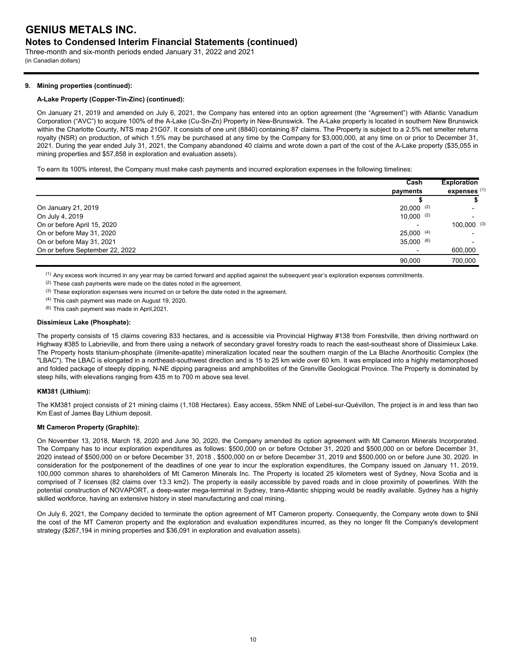Three-month and six-month periods ended January 31, 2022 and 2021 (in Canadian dollars)

## **9. Mining properties (continued):**

## **A-Lake Property (Copper-Tin-Zinc) (continued):**

On January 21, 2019 and amended on July 6, 2021, the Company has entered into an option agreement (the "Agreement") with Atlantic Vanadium Corporation ("AVC") to acquire 100% of the A-Lake (Cu-Sn-Zn) Property in New-Brunswick. The A-Lake property is located in southern New Brunswick within the Charlotte County, NTS map 21G07. It consists of one unit (8840) containing 87 claims. The Property is subject to a 2.5% net smelter returns royalty (NSR) on production, of which 1.5% may be purchased at any time by the Company for \$3,000,000, at any time on or prior to December 31, 2021. During the year ended July 31, 2021, the Company abandoned 40 claims and wrote down a part of the cost of the A-Lake property (\$35,055 in mining properties and \$57,858 in exploration and evaluation assets).

To earn its 100% interest, the Company must make cash payments and incurred exploration expenses in the following timelines:

|                                 | Cash         | <b>Exploration</b><br>expenses <sup>(1)</sup> |
|---------------------------------|--------------|-----------------------------------------------|
|                                 | payments     |                                               |
|                                 |              |                                               |
| On January 21, 2019             | $20,000$ (2) |                                               |
| On July 4, 2019                 | $10.000$ (2) |                                               |
| On or before April 15, 2020     |              | $100.000$ (3)                                 |
| On or before May 31, 2020       | $25.000$ (4) |                                               |
| On or before May 31, 2021       | 35.000(6)    |                                               |
| On or before September 22, 2022 |              | 600,000                                       |
|                                 | 90.000       | 700.000                                       |

 $<sup>(1)</sup>$  Any excess work incurred in any year may be carried forward and applied against the subsequent year's exploration expenses commitments.</sup>

(2) These cash payments were made on the dates noted in the agreement.

(3) These exploration expenses were incurred on or before the date noted in the agreement.

(4) This cash payment was made on August 19, 2020.

(6) This cash payment was made in April,2021.

## **Dissimieux Lake (Phosphate):**

The property consists of 15 claims covering 833 hectares, and is accessible via Provincial Highway #138 from Forestville, then driving northward on Highway #385 to Labrieville, and from there using a network of secondary gravel forestry roads to reach the east-southeast shore of Dissimieux Lake. The Property hosts titanium-phosphate (ilmenite-apatite) mineralization located near the southern margin of the La Blache Anorthositic Complex (the "LBAC"). The LBAC is elongated in a northeast-southwest direction and is 15 to 25 km wide over 60 km. It was emplaced into a highly metamorphosed and folded package of steeply dipping, N-NE dipping paragneiss and amphibolites of the Grenville Geological Province. The Property is dominated by steep hills, with elevations ranging from 435 m to 700 m above sea level.

## **KM381 (Lithium):**

The KM381 project consists of 21 mining claims (1,108 Hectares). Easy access, 55km NNE of Lebel-sur-Quévillon, The project is in and less than two Km East of James Bay Lithium deposit.

## **Mt Cameron Property (Graphite):**

On November 13, 2018, March 18, 2020 and June 30, 2020, the Company amended its option agreement with Mt Cameron Minerals Incorporated. The Company has to incur exploration expenditures as follows: \$500,000 on or before October 31, 2020 and \$500,000 on or before December 31, 2020 instead of \$500,000 on or before December 31, 2018 , \$500,000 on or before December 31, 2019 and \$500,000 on or before June 30, 2020. In consideration for the postponement of the deadlines of one year to incur the exploration expenditures, the Company issued on January 11, 2019, 100,000 common shares to shareholders of Mt Cameron Minerals Inc. The Property is located 25 kilometers west of Sydney, Nova Scotia and is comprised of 7 licenses (82 claims over 13.3 km2). The property is easily accessible by paved roads and in close proximity of powerlines. With the potential construction of NOVAPORT, a deep-water mega-terminal in Sydney, trans-Atlantic shipping would be readily available. Sydney has a highly skilled workforce, having an extensive history in steel manufacturing and coal mining.

On July 6, 2021, the Company decided to terminate the option agreement of MT Cameron property. Consequently, the Company wrote down to \$Nil the cost of the MT Cameron property and the exploration and evaluation expenditures incurred, as they no longer fit the Company's development strategy (\$267,194 in mining properties and \$36,091 in exploration and evaluation assets).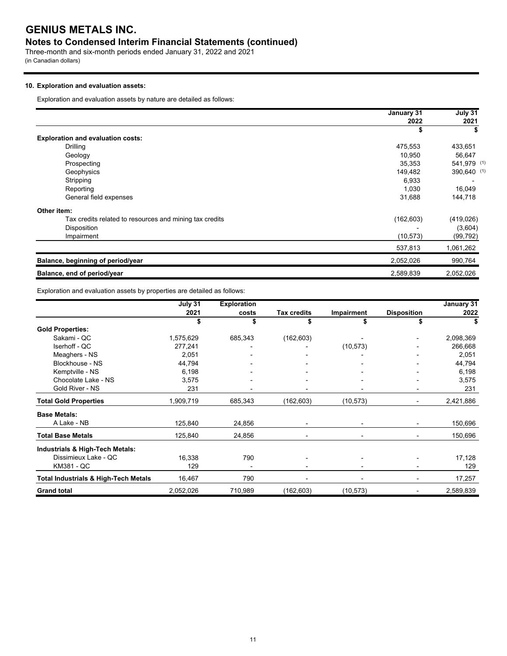## **Notes to Condensed Interim Financial Statements (continued)**

Three-month and six-month periods ended January 31, 2022 and 2021 (in Canadian dollars)

## **10. Exploration and evaluation assets:**

Exploration and evaluation assets by nature are detailed as follows:

|                                                         | January 31 | July 31     |
|---------------------------------------------------------|------------|-------------|
|                                                         | 2022       | 2021        |
|                                                         | \$         |             |
| <b>Exploration and evaluation costs:</b>                |            |             |
| Drilling                                                | 475,553    | 433,651     |
| Geology                                                 | 10.950     | 56,647      |
| Prospecting                                             | 35,353     | 541,979 (1) |
| Geophysics                                              | 149,482    | 390,640 (1) |
| Stripping                                               | 6,933      |             |
| Reporting                                               | 1,030      | 16,049      |
| General field expenses                                  | 31,688     | 144,718     |
| Other item:                                             |            |             |
| Tax credits related to resources and mining tax credits | (162, 603) | (419, 026)  |
| Disposition                                             |            | (3,604)     |
| Impairment                                              | (10, 573)  | (99, 792)   |
|                                                         | 537,813    | 1,061,262   |
| Balance, beginning of period/year                       | 2,052,026  | 990,764     |
| Balance, end of period/year                             | 2,589,839  | 2,052,026   |

Exploration and evaluation assets by properties are detailed as follows:

|                                                 | July 31   | <b>Exploration</b> |                    |            |                          | January 31 |
|-------------------------------------------------|-----------|--------------------|--------------------|------------|--------------------------|------------|
|                                                 | 2021      | costs              | <b>Tax credits</b> | Impairment | <b>Disposition</b>       | 2022       |
|                                                 | \$        | \$                 |                    |            |                          |            |
| <b>Gold Properties:</b>                         |           |                    |                    |            |                          |            |
| Sakami - QC                                     | 1,575,629 | 685,343            | (162, 603)         |            |                          | 2,098,369  |
| Iserhoff - QC                                   | 277,241   |                    |                    | (10, 573)  |                          | 266,668    |
| Meaghers - NS                                   | 2,051     |                    |                    |            |                          | 2,051      |
| Blockhouse - NS                                 | 44,794    |                    |                    |            |                          | 44,794     |
| Kemptville - NS                                 | 6,198     |                    |                    |            |                          | 6,198      |
| Chocolate Lake - NS                             | 3,575     |                    |                    |            |                          | 3,575      |
| Gold River - NS                                 | 231       | -                  |                    |            | $\overline{\phantom{a}}$ | 231        |
| <b>Total Gold Properties</b>                    | 1,909,719 | 685,343            | (162, 603)         | (10, 573)  | $\blacksquare$           | 2,421,886  |
| <b>Base Metals:</b>                             |           |                    |                    |            |                          |            |
| A Lake - NB                                     | 125,840   | 24,856             |                    |            |                          | 150,696    |
| <b>Total Base Metals</b>                        | 125,840   | 24,856             |                    |            |                          | 150,696    |
| Industrials & High-Tech Metals:                 |           |                    |                    |            |                          |            |
| Dissimieux Lake - QC                            | 16,338    | 790                |                    | -          |                          | 17,128     |
| KM381 - QC                                      | 129       |                    |                    |            |                          | 129        |
| <b>Total Industrials &amp; High-Tech Metals</b> | 16,467    | 790                |                    |            |                          | 17,257     |
| <b>Grand total</b>                              | 2,052,026 | 710,989            | (162, 603)         | (10, 573)  | $\overline{\phantom{a}}$ | 2,589,839  |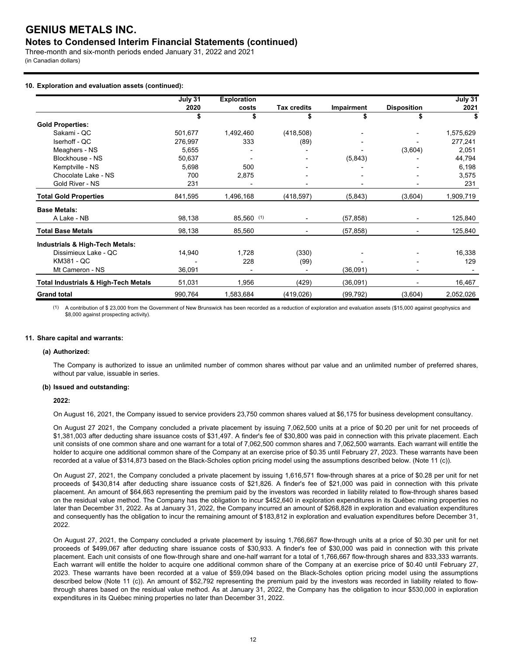## **Notes to Condensed Interim Financial Statements (continued)**

Three-month and six-month periods ended January 31, 2022 and 2021 (in Canadian dollars)

## **10. Exploration and evaluation assets (continued):**

|                                                 | July 31 | <b>Exploration</b>       |                    |            |                          | July 31   |
|-------------------------------------------------|---------|--------------------------|--------------------|------------|--------------------------|-----------|
|                                                 | 2020    | costs                    | <b>Tax credits</b> | Impairment | <b>Disposition</b>       | 2021      |
|                                                 | \$      | \$                       |                    |            |                          | S         |
| <b>Gold Properties:</b>                         |         |                          |                    |            |                          |           |
| Sakami - QC                                     | 501,677 | 1,492,460                | (418,508)          |            |                          | 1,575,629 |
| Iserhoff - QC                                   | 276,997 | 333                      | (89)               |            |                          | 277,241   |
| Meaghers - NS                                   | 5,655   |                          |                    |            | (3,604)                  | 2,051     |
| Blockhouse - NS                                 | 50,637  |                          |                    | (5, 843)   |                          | 44,794    |
| Kemptville - NS                                 | 5,698   | 500                      |                    |            |                          | 6,198     |
| Chocolate Lake - NS                             | 700     | 2,875                    |                    |            |                          | 3,575     |
| Gold River - NS                                 | 231     | $\overline{\phantom{0}}$ |                    |            |                          | 231       |
| <b>Total Gold Properties</b>                    | 841,595 | 1,496,168                | (418, 597)         | (5,843)    | (3,604)                  | 1,909,719 |
| <b>Base Metals:</b>                             |         |                          |                    |            |                          |           |
| A Lake - NB                                     | 98,138  | $85,560$ (1)             |                    | (57, 858)  | $\overline{\phantom{a}}$ | 125,840   |
| <b>Total Base Metals</b>                        | 98,138  | 85,560                   |                    | (57, 858)  |                          | 125,840   |
| Industrials & High-Tech Metals:                 |         |                          |                    |            |                          |           |
| Dissimieux Lake - QC                            | 14,940  | 1,728                    | (330)              |            |                          | 16,338    |
| KM381 - QC                                      |         | 228                      | (99)               |            |                          | 129       |
| Mt Cameron - NS                                 | 36,091  |                          |                    | (36,091)   |                          |           |
| <b>Total Industrials &amp; High-Tech Metals</b> | 51,031  | 1,956                    | (429)              | (36,091)   |                          | 16,467    |
| <b>Grand total</b>                              | 990,764 | 1,583,684                | (419, 026)         | (99, 792)  | (3,604)                  | 2,052,026 |

(1) A contribution of \$ 23,000 from the Government of New Brunswick has been recorded as a reduction of exploration and evaluation assets (\$15,000 against geophysics and \$8,000 against prospecting activity).

#### **11. Share capital and warrants:**

### **(a) Authorized:**

The Company is authorized to issue an unlimited number of common shares without par value and an unlimited number of preferred shares, without par value, issuable in series.

#### **(b) Issued and outstanding:**

## **2022:**

On August 16, 2021, the Company issued to service providers 23,750 common shares valued at \$6,175 for business development consultancy.

On August 27 2021, the Company concluded a private placement by issuing 7,062,500 units at a price of \$0.20 per unit for net proceeds of \$1,381,003 after deducting share issuance costs of \$31,497. A finder's fee of \$30,800 was paid in connection with this private placement. Each unit consists of one common share and one warrant for a total of 7,062,500 common shares and 7,062,500 warrants. Each warrant will entitle the holder to acquire one additional common share of the Company at an exercise price of \$0.35 until February 27, 2023. These warrants have been recorded at a value of \$314,873 based on the Black-Scholes option pricing model using the assumptions described below. (Note 11 (c)).

On August 27, 2021, the Company concluded a private placement by issuing 1,616,571 flow-through shares at a price of \$0.28 per unit for net proceeds of \$430,814 after deducting share issuance costs of \$21,826. A finder's fee of \$21,000 was paid in connection with this private placement. An amount of \$64,663 representing the premium paid by the investors was recorded in liability related to flow-through shares based on the residual value method. The Company has the obligation to incur \$452,640 in exploration expenditures in its Québec mining properties no later than December 31, 2022. As at January 31, 2022, the Company incurred an amount of \$268,828 in exploration and evaluation expenditures and consequently has the obligation to incur the remaining amount of \$183,812 in exploration and evaluation expenditures before December 31, 2022.

On August 27, 2021, the Company concluded a private placement by issuing 1,766,667 flow-through units at a price of \$0.30 per unit for net proceeds of \$499,067 after deducting share issuance costs of \$30,933. A finder's fee of \$30,000 was paid in connection with this private placement. Each unit consists of one flow-through share and one-half warrant for a total of 1,766,667 flow-through shares and 833,333 warrants. Each warrant will entitle the holder to acquire one additional common share of the Company at an exercise price of \$0.40 until February 27, 2023. These warrants have been recorded at a value of \$59,094 based on the Black-Scholes option pricing model using the assumptions described below (Note 11 (c)). An amount of \$52,792 representing the premium paid by the investors was recorded in liability related to flowthrough shares based on the residual value method. As at January 31, 2022, the Company has the obligation to incur \$530,000 in exploration expenditures in its Québec mining properties no later than December 31, 2022.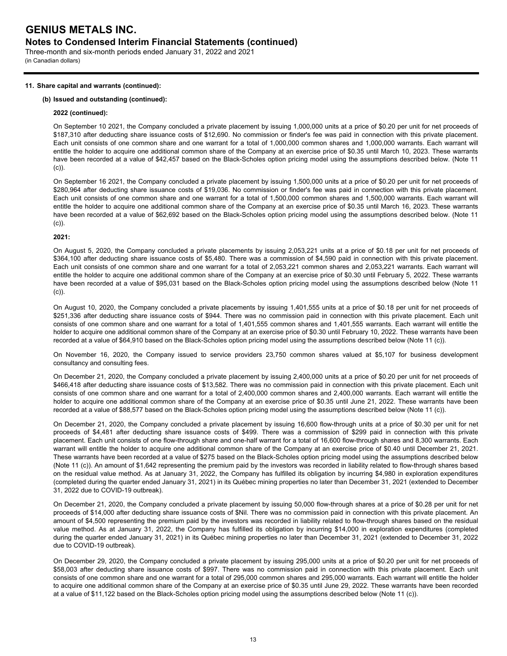Three-month and six-month periods ended January 31, 2022 and 2021 (in Canadian dollars)

## **11. Share capital and warrants (continued):**

## **(b) Issued and outstanding (continued):**

### **2022 (continued):**

On September 10 2021, the Company concluded a private placement by issuing 1,000,000 units at a price of \$0.20 per unit for net proceeds of \$187,310 after deducting share issuance costs of \$12,690. No commission or finder's fee was paid in connection with this private placement. Each unit consists of one common share and one warrant for a total of 1,000,000 common shares and 1,000,000 warrants. Each warrant will entitle the holder to acquire one additional common share of the Company at an exercise price of \$0.35 until March 10, 2023. These warrants have been recorded at a value of \$42,457 based on the Black-Scholes option pricing model using the assumptions described below. (Note 11 (c)).

On September 16 2021, the Company concluded a private placement by issuing 1,500,000 units at a price of \$0.20 per unit for net proceeds of \$280,964 after deducting share issuance costs of \$19,036. No commission or finder's fee was paid in connection with this private placement. Each unit consists of one common share and one warrant for a total of 1,500,000 common shares and 1,500,000 warrants. Each warrant will entitle the holder to acquire one additional common share of the Company at an exercise price of \$0.35 until March 16, 2023. These warrants have been recorded at a value of \$62,692 based on the Black-Scholes option pricing model using the assumptions described below. (Note 11 (c)).

## **2021:**

On August 5, 2020, the Company concluded a private placements by issuing 2,053,221 units at a price of \$0.18 per unit for net proceeds of \$364,100 after deducting share issuance costs of \$5,480. There was a commission of \$4,590 paid in connection with this private placement. Each unit consists of one common share and one warrant for a total of 2,053,221 common shares and 2,053,221 warrants. Each warrant will entitle the holder to acquire one additional common share of the Company at an exercise price of \$0.30 until February 5, 2022. These warrants have been recorded at a value of \$95,031 based on the Black-Scholes option pricing model using the assumptions described below (Note 11 (c)).

On August 10, 2020, the Company concluded a private placements by issuing 1,401,555 units at a price of \$0.18 per unit for net proceeds of \$251,336 after deducting share issuance costs of \$944. There was no commission paid in connection with this private placement. Each unit consists of one common share and one warrant for a total of 1,401,555 common shares and 1,401,555 warrants. Each warrant will entitle the holder to acquire one additional common share of the Company at an exercise price of \$0.30 until February 10, 2022. These warrants have been recorded at a value of \$64,910 based on the Black-Scholes option pricing model using the assumptions described below (Note 11 (c)).

On November 16, 2020, the Company issued to service providers 23,750 common shares valued at \$5,107 for business development consultancy and consulting fees.

On December 21, 2020, the Company concluded a private placement by issuing 2,400,000 units at a price of \$0.20 per unit for net proceeds of \$466,418 after deducting share issuance costs of \$13,582. There was no commission paid in connection with this private placement. Each unit consists of one common share and one warrant for a total of 2,400,000 common shares and 2,400,000 warrants. Each warrant will entitle the holder to acquire one additional common share of the Company at an exercise price of \$0.35 until June 21, 2022. These warrants have been recorded at a value of \$88,577 based on the Black-Scholes option pricing model using the assumptions described below (Note 11 (c)).

On December 21, 2020, the Company concluded a private placement by issuing 16,600 flow-through units at a price of \$0.30 per unit for net proceeds of \$4,481 after deducting share issuance costs of \$499. There was a commission of \$299 paid in connection with this private placement. Each unit consists of one flow-through share and one-half warrant for a total of 16,600 flow-through shares and 8,300 warrants. Each warrant will entitle the holder to acquire one additional common share of the Company at an exercise price of \$0.40 until December 21, 2021. These warrants have been recorded at a value of \$275 based on the Black-Scholes option pricing model using the assumptions described below (Note 11 (c)). An amount of \$1,642 representing the premium paid by the investors was recorded in liability related to flow-through shares based on the residual value method. As at January 31, 2022, the Company has fulfilled its obligation by incurring \$4,980 in exploration expenditures (completed during the quarter ended January 31, 2021) in its Québec mining properties no later than December 31, 2021 (extended to December 31, 2022 due to COVID-19 outbreak).

On December 21, 2020, the Company concluded a private placement by issuing 50,000 flow-through shares at a price of \$0.28 per unit for net proceeds of \$14,000 after deducting share issuance costs of \$Nil. There was no commission paid in connection with this private placement. An amount of \$4,500 representing the premium paid by the investors was recorded in liability related to flow-through shares based on the residual value method. As at January 31, 2022, the Company has fulfilled its obligation by incurring \$14,000 in exploration expenditures (completed during the quarter ended January 31, 2021) in its Québec mining properties no later than December 31, 2021 (extended to December 31, 2022 due to COVID-19 outbreak).

On December 29, 2020, the Company concluded a private placement by issuing 295,000 units at a price of \$0.20 per unit for net proceeds of \$58,003 after deducting share issuance costs of \$997. There was no commission paid in connection with this private placement. Each unit consists of one common share and one warrant for a total of 295,000 common shares and 295,000 warrants. Each warrant will entitle the holder to acquire one additional common share of the Company at an exercise price of \$0.35 until June 29, 2022. These warrants have been recorded at a value of \$11,122 based on the Black-Scholes option pricing model using the assumptions described below (Note 11 (c)).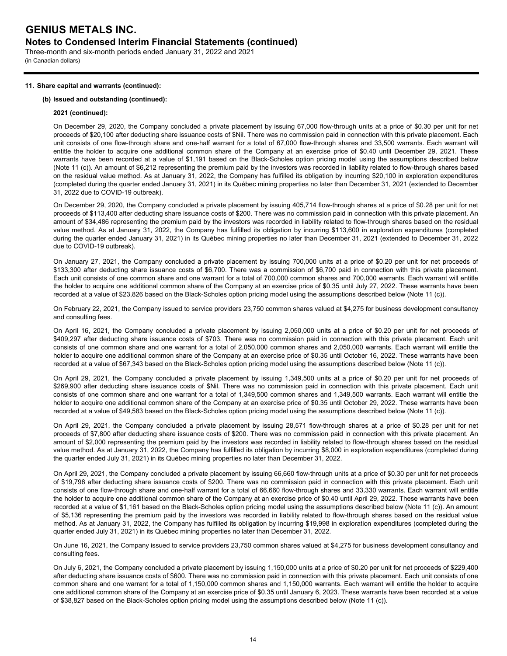Three-month and six-month periods ended January 31, 2022 and 2021 (in Canadian dollars)

## **11. Share capital and warrants (continued):**

## **(b) Issued and outstanding (continued):**

### **2021 (continued):**

On December 29, 2020, the Company concluded a private placement by issuing 67,000 flow-through units at a price of \$0.30 per unit for net proceeds of \$20,100 after deducting share issuance costs of \$Nil. There was no commission paid in connection with this private placement. Each unit consists of one flow-through share and one-half warrant for a total of 67,000 flow-through shares and 33,500 warrants. Each warrant will entitle the holder to acquire one additional common share of the Company at an exercise price of \$0.40 until December 29, 2021. These warrants have been recorded at a value of \$1,191 based on the Black-Scholes option pricing model using the assumptions described below (Note 11 (c)). An amount of \$6,212 representing the premium paid by the investors was recorded in liability related to flow-through shares based on the residual value method. As at January 31, 2022, the Company has fulfilled its obligation by incurring \$20,100 in exploration expenditures (completed during the quarter ended January 31, 2021) in its Québec mining properties no later than December 31, 2021 (extended to December 31, 2022 due to COVID-19 outbreak).

On December 29, 2020, the Company concluded a private placement by issuing 405,714 flow-through shares at a price of \$0.28 per unit for net proceeds of \$113,400 after deducting share issuance costs of \$200. There was no commission paid in connection with this private placement. An amount of \$34,486 representing the premium paid by the investors was recorded in liability related to flow-through shares based on the residual value method. As at January 31, 2022, the Company has fulfilled its obligation by incurring \$113,600 in exploration expenditures (completed during the quarter ended January 31, 2021) in its Québec mining properties no later than December 31, 2021 (extended to December 31, 2022 due to COVID-19 outbreak).

On January 27, 2021, the Company concluded a private placement by issuing 700,000 units at a price of \$0.20 per unit for net proceeds of \$133,300 after deducting share issuance costs of \$6,700. There was a commission of \$6,700 paid in connection with this private placement. Each unit consists of one common share and one warrant for a total of 700,000 common shares and 700,000 warrants. Each warrant will entitle the holder to acquire one additional common share of the Company at an exercise price of \$0.35 until July 27, 2022. These warrants have been recorded at a value of \$23,826 based on the Black-Scholes option pricing model using the assumptions described below (Note 11 (c)).

On February 22, 2021, the Company issued to service providers 23,750 common shares valued at \$4,275 for business development consultancy and consulting fees.

On April 16, 2021, the Company concluded a private placement by issuing 2,050,000 units at a price of \$0.20 per unit for net proceeds of \$409,297 after deducting share issuance costs of \$703. There was no commission paid in connection with this private placement. Each unit consists of one common share and one warrant for a total of 2,050,000 common shares and 2,050,000 warrants. Each warrant will entitle the holder to acquire one additional common share of the Company at an exercise price of \$0.35 until October 16, 2022. These warrants have been recorded at a value of \$67,343 based on the Black-Scholes option pricing model using the assumptions described below (Note 11 (c)).

On April 29, 2021, the Company concluded a private placement by issuing 1,349,500 units at a price of \$0.20 per unit for net proceeds of \$269,900 after deducting share issuance costs of \$Nil. There was no commission paid in connection with this private placement. Each unit consists of one common share and one warrant for a total of 1,349,500 common shares and 1,349,500 warrants. Each warrant will entitle the holder to acquire one additional common share of the Company at an exercise price of \$0.35 until October 29, 2022. These warrants have been recorded at a value of \$49,583 based on the Black-Scholes option pricing model using the assumptions described below (Note 11 (c)).

On April 29, 2021, the Company concluded a private placement by issuing 28,571 flow-through shares at a price of \$0.28 per unit for net proceeds of \$7,800 after deducting share issuance costs of \$200. There was no commission paid in connection with this private placement. An amount of \$2,000 representing the premium paid by the investors was recorded in liability related to flow-through shares based on the residual value method. As at January 31, 2022, the Company has fulfilled its obligation by incurring \$8,000 in exploration expenditures (completed during the quarter ended July 31, 2021) in its Québec mining properties no later than December 31, 2022.

On April 29, 2021, the Company concluded a private placement by issuing 66,660 flow-through units at a price of \$0.30 per unit for net proceeds of \$19,798 after deducting share issuance costs of \$200. There was no commission paid in connection with this private placement. Each unit consists of one flow-through share and one-half warrant for a total of 66,660 flow-through shares and 33,330 warrants. Each warrant will entitle the holder to acquire one additional common share of the Company at an exercise price of \$0.40 until April 29, 2022. These warrants have been recorded at a value of \$1,161 based on the Black-Scholes option pricing model using the assumptions described below (Note 11 (c)). An amount of \$5,136 representing the premium paid by the investors was recorded in liability related to flow-through shares based on the residual value method. As at January 31, 2022, the Company has fulfilled its obligation by incurring \$19,998 in exploration expenditures (completed during the quarter ended July 31, 2021) in its Québec mining properties no later than December 31, 2022.

On June 16, 2021, the Company issued to service providers 23,750 common shares valued at \$4,275 for business development consultancy and consulting fees.

On July 6, 2021, the Company concluded a private placement by issuing 1,150,000 units at a price of \$0.20 per unit for net proceeds of \$229,400 after deducting share issuance costs of \$600. There was no commission paid in connection with this private placement. Each unit consists of one common share and one warrant for a total of 1,150,000 common shares and 1,150,000 warrants. Each warrant will entitle the holder to acquire one additional common share of the Company at an exercise price of \$0.35 until January 6, 2023. These warrants have been recorded at a value of \$38,827 based on the Black-Scholes option pricing model using the assumptions described below (Note 11 (c)).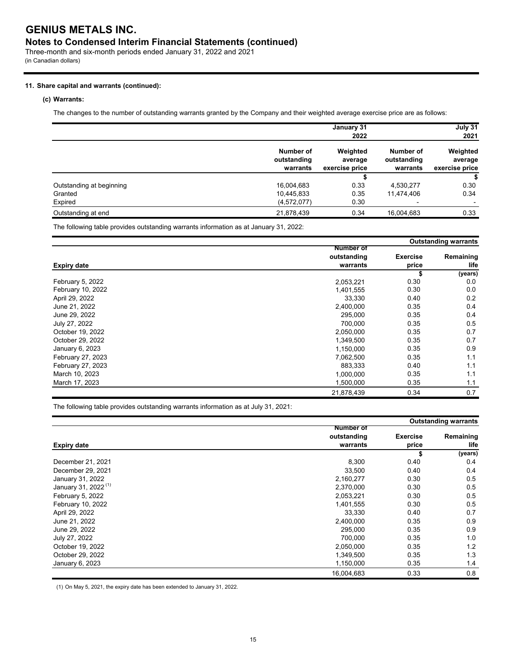Three-month and six-month periods ended January 31, 2022 and 2021 (in Canadian dollars)

## **11. Share capital and warrants (continued):**

## **(c) Warrants:**

The changes to the number of outstanding warrants granted by the Company and their weighted average exercise price are as follows:

|                          |                                      | January 31<br>2022                    |                                      | July 31<br>2021                       |
|--------------------------|--------------------------------------|---------------------------------------|--------------------------------------|---------------------------------------|
|                          | Number of<br>outstanding<br>warrants | Weighted<br>average<br>exercise price | Number of<br>outstanding<br>warrants | Weighted<br>average<br>exercise price |
|                          |                                      |                                       |                                      | S                                     |
| Outstanding at beginning | 16,004,683                           | 0.33                                  | 4,530,277                            | 0.30                                  |
| Granted                  | 10,445,833                           | 0.35                                  | 11,474,406                           | 0.34                                  |
| Expired                  | (4,572,077)                          | 0.30                                  |                                      |                                       |
| Outstanding at end       | 21,878,439                           | 0.34                                  | 16,004,683                           | 0.33                                  |

The following table provides outstanding warrants information as at January 31, 2022:

|                    |                  |                 | <b>Outstanding warrants</b> |  |
|--------------------|------------------|-----------------|-----------------------------|--|
|                    | <b>Number of</b> |                 |                             |  |
|                    | outstanding      | <b>Exercise</b> | Remaining                   |  |
| <b>Expiry date</b> | warrants         | price           | life                        |  |
|                    |                  | S               | (years)                     |  |
| February 5, 2022   | 2,053,221        | 0.30            | 0.0                         |  |
| February 10, 2022  | 1,401,555        | 0.30            | 0.0                         |  |
| April 29, 2022     | 33,330           | 0.40            | 0.2                         |  |
| June 21, 2022      | 2,400,000        | 0.35            | 0.4                         |  |
| June 29, 2022      | 295,000          | 0.35            | 0.4                         |  |
| July 27, 2022      | 700,000          | 0.35            | 0.5                         |  |
| October 19, 2022   | 2,050,000        | 0.35            | 0.7                         |  |
| October 29, 2022   | 1,349,500        | 0.35            | 0.7                         |  |
| January 6, 2023    | 1,150,000        | 0.35            | 0.9                         |  |
| February 27, 2023  | 7,062,500        | 0.35            | 1.1                         |  |
| February 27, 2023  | 883,333          | 0.40            | 1.1                         |  |
| March 10, 2023     | 1,000,000        | 0.35            | 1.1                         |  |
| March 17, 2023     | 1,500,000        | 0.35            | 1.1                         |  |
|                    | 21,878,439       | 0.34            | 0.7                         |  |

The following table provides outstanding warrants information as at July 31, 2021:

|                                 |                  |                 | <b>Outstanding warrants</b> |
|---------------------------------|------------------|-----------------|-----------------------------|
|                                 | <b>Number of</b> |                 |                             |
|                                 | outstanding      | <b>Exercise</b> | Remaining                   |
| <b>Expiry date</b>              | warrants         | price           | life                        |
|                                 |                  | \$              | (years)                     |
| December 21, 2021               | 8,300            | 0.40            | 0.4                         |
| December 29, 2021               | 33,500           | 0.40            | 0.4                         |
| January 31, 2022                | 2,160,277        | 0.30            | 0.5                         |
| January 31, 2022 <sup>(1)</sup> | 2,370,000        | 0.30            | 0.5                         |
| February 5, 2022                | 2,053,221        | 0.30            | 0.5                         |
| February 10, 2022               | 1,401,555        | 0.30            | 0.5                         |
| April 29, 2022                  | 33,330           | 0.40            | 0.7                         |
| June 21, 2022                   | 2,400,000        | 0.35            | 0.9                         |
| June 29, 2022                   | 295,000          | 0.35            | 0.9                         |
| July 27, 2022                   | 700,000          | 0.35            | 1.0                         |
| October 19, 2022                | 2,050,000        | 0.35            | 1.2                         |
| October 29, 2022                | 1,349,500        | 0.35            | 1.3                         |
| January 6, 2023                 | 1,150,000        | 0.35            | 1.4                         |
|                                 | 16,004,683       | 0.33            | 0.8                         |

(1) On May 5, 2021, the expiry date has been extended to January 31, 2022.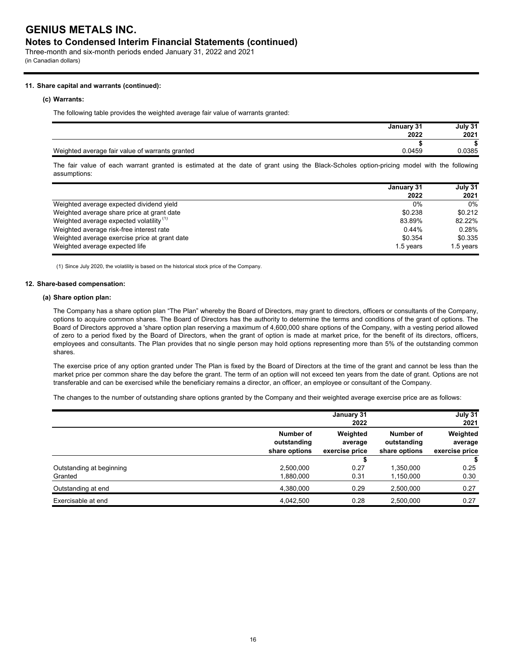## **Notes to Condensed Interim Financial Statements (continued)**

Three-month and six-month periods ended January 31, 2022 and 2021 (in Canadian dollars)

## **11. Share capital and warrants (continued):**

#### **(c) Warrants:**

The following table provides the weighted average fair value of warrants granted:

| January 31 | July 31 |
|------------|---------|
| 2022       | 2021    |
|            |         |
| 0.0459     | 0.0385  |
|            |         |

The fair value of each warrant granted is estimated at the date of grant using the Black-Scholes option-pricing model with the following assumptions:

|                                                     | January 31 |           |
|-----------------------------------------------------|------------|-----------|
|                                                     | 2022       | 2021      |
| Weighted average expected dividend yield            | $0\%$      | $0\%$     |
| Weighted average share price at grant date          | \$0.238    | \$0.212   |
| Weighted average expected volatility <sup>(1)</sup> | 83.89%     | 82.22%    |
| Weighted average risk-free interest rate            | 0.44%      | 0.28%     |
| Weighted average exercise price at grant date       | \$0.354    | \$0.335   |
| Weighted average expected life                      | 1.5 years  | 1.5 years |

(1) Since July 2020, the volatility is based on the historical stock price of the Company.

### **12. Share-based compensation:**

## **(a) Share option plan:**

The Company has a share option plan "The Plan" whereby the Board of Directors, may grant to directors, officers or consultants of the Company, options to acquire common shares. The Board of Directors has the authority to determine the terms and conditions of the grant of options. The Board of Directors approved a 'share option plan reserving a maximum of 4,600,000 share options of the Company, with a vesting period allowed of zero to a period fixed by the Board of Directors, when the grant of option is made at market price, for the benefit of its directors, officers, employees and consultants. The Plan provides that no single person may hold options representing more than 5% of the outstanding common shares.

The exercise price of any option granted under The Plan is fixed by the Board of Directors at the time of the grant and cannot be less than the market price per common share the day before the grant. The term of an option will not exceed ten years from the date of grant. Options are not transferable and can be exercised while the beneficiary remains a director, an officer, an employee or consultant of the Company.

The changes to the number of outstanding share options granted by the Company and their weighted average exercise price are as follows:

|                          |                                           | January 31<br>2022                    |                                           | July 31<br>2021                       |
|--------------------------|-------------------------------------------|---------------------------------------|-------------------------------------------|---------------------------------------|
|                          | Number of<br>outstanding<br>share options | Weighted<br>average<br>exercise price | Number of<br>outstanding<br>share options | Weighted<br>average<br>exercise price |
|                          |                                           |                                       |                                           |                                       |
| Outstanding at beginning | 2,500,000                                 | 0.27                                  | 1,350,000                                 | 0.25                                  |
| Granted                  | 1,880,000                                 | 0.31                                  | 1,150,000                                 | 0.30                                  |
| Outstanding at end       | 4,380,000                                 | 0.29                                  | 2,500,000                                 | 0.27                                  |
| Exercisable at end       | 4,042,500                                 | 0.28                                  | 2,500,000                                 | 0.27                                  |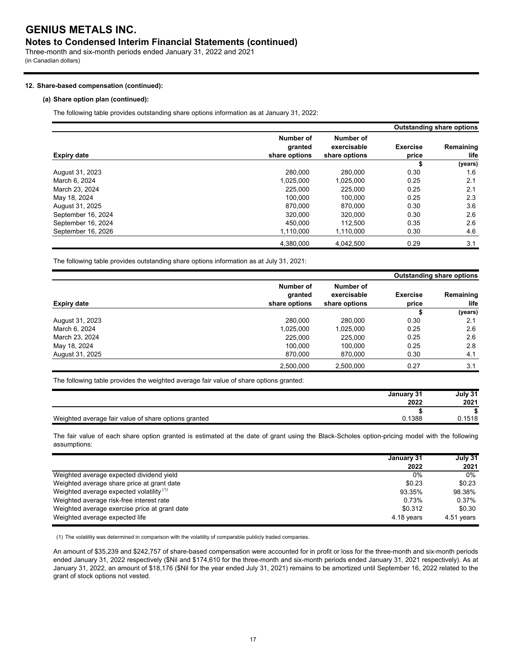## **Notes to Condensed Interim Financial Statements (continued)**

Three-month and six-month periods ended January 31, 2022 and 2021 (in Canadian dollars)

## **12. Share-based compensation (continued):**

## **(a) Share option plan (continued):**

The following table provides outstanding share options information as at January 31, 2022:

|                    |                                       |                                           |                          | <b>Outstanding share options</b> |
|--------------------|---------------------------------------|-------------------------------------------|--------------------------|----------------------------------|
| <b>Expiry date</b> | Number of<br>granted<br>share options | Number of<br>exercisable<br>share options | <b>Exercise</b><br>price | Remaining<br>life                |
|                    |                                       |                                           |                          | (years)                          |
| August 31, 2023    | 280.000                               | 280.000                                   | 0.30                     | 1.6                              |
| March 6, 2024      | 1,025,000                             | 1.025.000                                 | 0.25                     | 2.1                              |
| March 23, 2024     | 225.000                               | 225.000                                   | 0.25                     | 2.1                              |
| May 18, 2024       | 100.000                               | 100.000                                   | 0.25                     | 2.3                              |
| August 31, 2025    | 870.000                               | 870.000                                   | 0.30                     | 3.6                              |
| September 16, 2024 | 320.000                               | 320.000                                   | 0.30                     | 2.6                              |
| September 16, 2024 | 450.000                               | 112.500                                   | 0.35                     | 2.6                              |
| September 16, 2026 | 1,110,000                             | 1,110,000                                 | 0.30                     | 4.6                              |
|                    | 4.380.000                             | 4.042.500                                 | 0.29                     | 3.1                              |

The following table provides outstanding share options information as at July 31, 2021:

| <b>Expiry date</b> |                                       |                                           | <b>Outstanding share options</b> |                   |
|--------------------|---------------------------------------|-------------------------------------------|----------------------------------|-------------------|
|                    | Number of<br>granted<br>share options | Number of<br>exercisable<br>share options | <b>Exercise</b><br>price         | Remaining<br>life |
|                    |                                       |                                           |                                  | (years)           |
| August 31, 2023    | 280.000                               | 280.000                                   | 0.30                             | 2.1               |
| March 6, 2024      | 1,025,000                             | 1,025,000                                 | 0.25                             | 2.6               |
| March 23, 2024     | 225.000                               | 225,000                                   | 0.25                             | 2.6               |
| May 18, 2024       | 100.000                               | 100.000                                   | 0.25                             | 2.8               |
| August 31, 2025    | 870.000                               | 870,000                                   | 0.30                             | 4.1               |
|                    | 2,500,000                             | 2,500,000                                 | 0.27                             | 3.1               |

The following table provides the weighted average fair value of share options granted:

| January 31                                                     | July 31 |
|----------------------------------------------------------------|---------|
| 2022                                                           | 2021    |
|                                                                |         |
| Weighted average fair value of share options granted<br>Ა.1388 | 1518    |

The fair value of each share option granted is estimated at the date of grant using the Black-Scholes option-pricing model with the following assumptions:

|                                                     | January 31 | July 31    |
|-----------------------------------------------------|------------|------------|
|                                                     | 2022       | 2021       |
| Weighted average expected dividend yield            | 0%         | 0%         |
| Weighted average share price at grant date          | \$0.23     | \$0.23     |
| Weighted average expected volatility <sup>(1)</sup> | 93.35%     | 98.38%     |
| Weighted average risk-free interest rate            | 0.73%      | $0.37\%$   |
| Weighted average exercise price at grant date       | \$0.312    | \$0.30     |
| Weighted average expected life                      | 4.18 years | 4.51 years |

(1) The volatility was determined in comparison with the volatility of comparable publicly traded companies.

An amount of \$35,239 and \$242,757 of share-based compensation were accounted for in profit or loss for the three-month and six-month periods ended January 31, 2022 respectively (\$Nil and \$174,610 for the three-month and six-month periods ended January 31, 2021 respectively). As at January 31, 2022, an amount of \$18,176 (\$Nil for the year ended July 31, 2021) remains to be amortized until September 16, 2022 related to the grant of stock options not vested.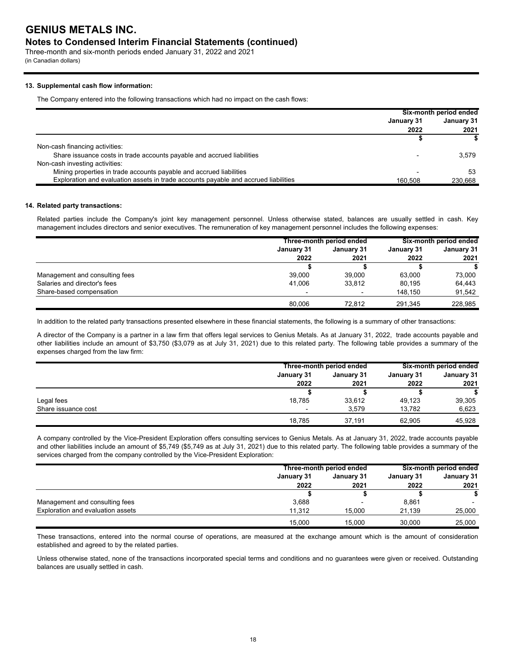## **Notes to Condensed Interim Financial Statements (continued)**

Three-month and six-month periods ended January 31, 2022 and 2021 (in Canadian dollars)

## **13. Supplemental cash flow information:**

The Company entered into the following transactions which had no impact on the cash flows:

|                                                                                     | Six-month period ended |            |
|-------------------------------------------------------------------------------------|------------------------|------------|
|                                                                                     | January 31             | January 31 |
|                                                                                     | 2022                   | 2021       |
|                                                                                     |                        |            |
| Non-cash financing activities:                                                      |                        |            |
| Share issuance costs in trade accounts payable and accrued liabilities              |                        | 3.579      |
| Non-cash investing activities:                                                      |                        |            |
| Mining properties in trade accounts payable and accrued liabilities                 |                        | 53         |
| Exploration and evaluation assets in trade accounts payable and accrued liabilities | 160.508                | 230.668    |

### **14. Related party transactions:**

Related parties include the Company's joint key management personnel. Unless otherwise stated, balances are usually settled in cash. Key management includes directors and senior executives. The remuneration of key management personnel includes the following expenses:

|                                | Three-month period ended |        | Six-month period ended |         |  |  |  |                                 |  |  |            |
|--------------------------------|--------------------------|--------|------------------------|---------|--|--|--|---------------------------------|--|--|------------|
|                                | January 31               |        |                        |         |  |  |  | <b>January 31</b><br>January 31 |  |  | January 31 |
|                                | 2022                     | 2021   | 2022                   | 2021    |  |  |  |                                 |  |  |            |
|                                |                          |        |                        |         |  |  |  |                                 |  |  |            |
| Management and consulting fees | 39.000                   | 39.000 | 63.000                 | 73,000  |  |  |  |                                 |  |  |            |
| Salaries and director's fees   | 41.006                   | 33,812 | 80.195                 | 64,443  |  |  |  |                                 |  |  |            |
| Share-based compensation       |                          |        | 148.150                | 91.542  |  |  |  |                                 |  |  |            |
|                                | 80.006                   | 72.812 | 291.345                | 228.985 |  |  |  |                                 |  |  |            |

In addition to the related party transactions presented elsewhere in these financial statements, the following is a summary of other transactions:

A director of the Company is a partner in a law firm that offers legal services to Genius Metals. As at January 31, 2022, trade accounts payable and other liabilities include an amount of \$3,750 (\$3,079 as at July 31, 2021) due to this related party. The following table provides a summary of the expenses charged from the law firm:

|                     |            | Three-month period ended |            | Six-month period ended |            |
|---------------------|------------|--------------------------|------------|------------------------|------------|
|                     | January 31 | January 31               | January 31 |                        | January 31 |
|                     | 2022       | 2021                     | 2022       | 2021                   |            |
|                     |            |                          |            |                        |            |
| Legal fees          | 18.785     | 33.612                   | 49,123     | 39,305                 |            |
| Share issuance cost |            | 3.579                    | 13,782     | 6,623                  |            |
|                     | 18.785     | 37.191                   | 62.905     | 45.928                 |            |

A company controlled by the Vice-President Exploration offers consulting services to Genius Metals. As at January 31, 2022, trade accounts payable and other liabilities include an amount of \$5,749 (\$5,749 as at July 31, 2021) due to this related party. The following table provides a summary of the services charged from the company controlled by the Vice-President Exploration:

|                                   |            | Three-month period ended |        | Six-month period ended |            |
|-----------------------------------|------------|--------------------------|--------|------------------------|------------|
|                                   | January 31 | January 31<br>January 31 |        |                        | January 31 |
|                                   | 2022       | 2021                     | 2022   | 2021                   |            |
|                                   |            |                          |        |                        |            |
| Management and consulting fees    | 3,688      |                          | 8.861  |                        |            |
| Exploration and evaluation assets | 11.312     | 15.000                   | 21.139 | 25.000                 |            |
|                                   | 15.000     | 15.000                   | 30.000 | 25.000                 |            |

These transactions, entered into the normal course of operations, are measured at the exchange amount which is the amount of consideration established and agreed to by the related parties.

Unless otherwise stated, none of the transactions incorporated special terms and conditions and no guarantees were given or received. Outstanding balances are usually settled in cash.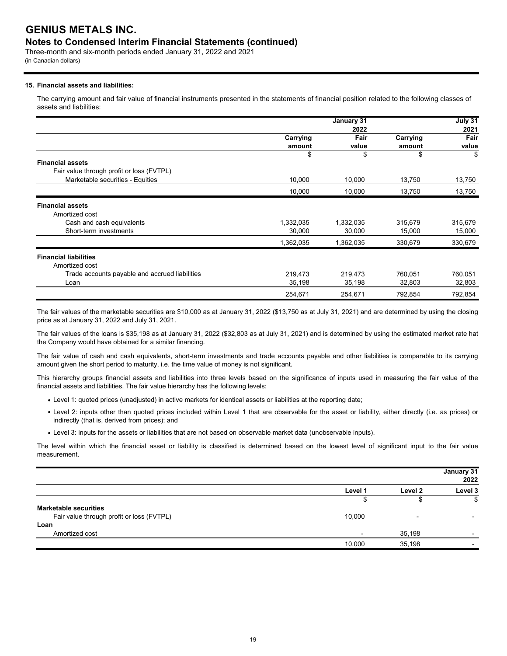## **Notes to Condensed Interim Financial Statements (continued)**

Three-month and six-month periods ended January 31, 2022 and 2021 (in Canadian dollars)

## **15. Financial assets and liabilities:**

The carrying amount and fair value of financial instruments presented in the statements of financial position related to the following classes of assets and liabilities:

|                                                |           | January 31 |          | July 31 |
|------------------------------------------------|-----------|------------|----------|---------|
|                                                |           | 2022       |          | 2021    |
|                                                | Carrying  | Fair       | Carrying | Fair    |
|                                                | amount    | value      | amount   | value   |
|                                                | \$        | \$         | \$       | \$      |
| <b>Financial assets</b>                        |           |            |          |         |
| Fair value through profit or loss (FVTPL)      |           |            |          |         |
| Marketable securities - Equities               | 10,000    | 10,000     | 13,750   | 13,750  |
|                                                | 10,000    | 10,000     | 13,750   | 13,750  |
| <b>Financial assets</b>                        |           |            |          |         |
| Amortized cost                                 |           |            |          |         |
| Cash and cash equivalents                      | 1,332,035 | 1,332,035  | 315,679  | 315,679 |
| Short-term investments                         | 30,000    | 30,000     | 15,000   | 15,000  |
|                                                | 1,362,035 | 1,362,035  | 330,679  | 330,679 |
| <b>Financial liabilities</b>                   |           |            |          |         |
| Amortized cost                                 |           |            |          |         |
| Trade accounts payable and accrued liabilities | 219,473   | 219,473    | 760,051  | 760,051 |
| Loan                                           | 35,198    | 35,198     | 32,803   | 32,803  |
|                                                | 254,671   | 254,671    | 792,854  | 792,854 |

The fair values of the marketable securities are \$10,000 as at January 31, 2022 (\$13,750 as at July 31, 2021) and are determined by using the closing price as at January 31, 2022 and July 31, 2021.

The fair values of the loans is \$35,198 as at January 31, 2022 (\$32,803 as at July 31, 2021) and is determined by using the estimated market rate hat the Company would have obtained for a similar financing.

The fair value of cash and cash equivalents, short-term investments and trade accounts payable and other liabilities is comparable to its carrying amount given the short period to maturity, i.e. the time value of money is not significant.

This hierarchy groups financial assets and liabilities into three levels based on the significance of inputs used in measuring the fair value of the financial assets and liabilities. The fair value hierarchy has the following levels:

- Level 1: quoted prices (unadjusted) in active markets for identical assets or liabilities at the reporting date;
- Level 2: inputs other than quoted prices included within Level 1 that are observable for the asset or liability, either directly (i.e. as prices) or indirectly (that is, derived from prices); and
- Level 3: inputs for the assets or liabilities that are not based on observable market data (unobservable inputs).

The level within which the financial asset or liability is classified is determined based on the lowest level of significant input to the fair value measurement.

|                                           |         |                          | January 31<br>2022 |
|-------------------------------------------|---------|--------------------------|--------------------|
|                                           | Level 1 | Level 2                  | Level 3            |
|                                           | Æ       |                          | \$                 |
| <b>Marketable securities</b>              |         |                          |                    |
| Fair value through profit or loss (FVTPL) | 10,000  | $\overline{\phantom{0}}$ |                    |
| Loan                                      |         |                          |                    |
| Amortized cost                            |         | 35,198                   |                    |
|                                           | 10,000  | 35,198                   |                    |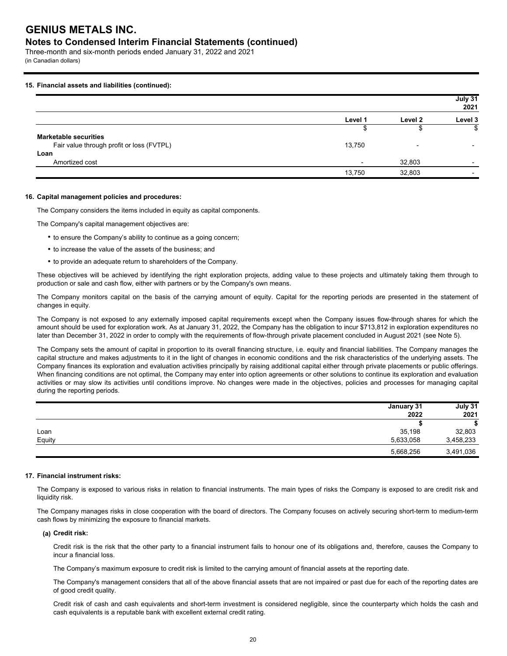## **Notes to Condensed Interim Financial Statements (continued)**

Three-month and six-month periods ended January 31, 2022 and 2021 (in Canadian dollars)

## **15. Financial assets and liabilities (continued):**

|                                           |                          |                | July 31<br>2021          |
|-------------------------------------------|--------------------------|----------------|--------------------------|
|                                           | Level 1                  | Level 2        | Level 3                  |
|                                           |                          | จ              | \$                       |
| <b>Marketable securities</b>              |                          |                |                          |
| Fair value through profit or loss (FVTPL) | 13,750                   | $\blacksquare$ | -                        |
| Loan                                      |                          |                |                          |
| Amortized cost                            | $\overline{\phantom{0}}$ | 32,803         | $\overline{\phantom{0}}$ |
|                                           | 13,750                   | 32,803         | $\overline{\phantom{0}}$ |

#### **16. Capital management policies and procedures:**

The Company considers the items included in equity as capital components.

The Company's capital management objectives are:

- to ensure the Company's ability to continue as a going concern;
- to increase the value of the assets of the business; and
- to provide an adequate return to shareholders of the Company.

These objectives will be achieved by identifying the right exploration projects, adding value to these projects and ultimately taking them through to production or sale and cash flow, either with partners or by the Company's own means.

The Company monitors capital on the basis of the carrying amount of equity. Capital for the reporting periods are presented in the statement of changes in equity.

The Company is not exposed to any externally imposed capital requirements except when the Company issues flow-through shares for which the amount should be used for exploration work. As at January 31, 2022, the Company has the obligation to incur \$713,812 in exploration expenditures no later than December 31, 2022 in order to comply with the requirements of flow-through private placement concluded in August 2021 (see Note 5).

The Company sets the amount of capital in proportion to its overall financing structure, i.e. equity and financial liabilities. The Company manages the capital structure and makes adjustments to it in the light of changes in economic conditions and the risk characteristics of the underlying assets. The Company finances its exploration and evaluation activities principally by raising additional capital either through private placements or public offerings. When financing conditions are not optimal, the Company may enter into option agreements or other solutions to continue its exploration and evaluation activities or may slow its activities until conditions improve. No changes were made in the objectives, policies and processes for managing capital during the reporting periods.

|        | January 31 | July 31   |
|--------|------------|-----------|
|        | 2022       | 2021      |
|        |            |           |
| Loan   | 35,198     | 32,803    |
| Equity | 5,633,058  | 3,458,233 |
|        | 5,668,256  | 3,491,036 |

## **17. Financial instrument risks:**

The Company is exposed to various risks in relation to financial instruments. The main types of risks the Company is exposed to are credit risk and liquidity risk.

The Company manages risks in close cooperation with the board of directors. The Company focuses on actively securing short-term to medium-term cash flows by minimizing the exposure to financial markets.

## **(a) Credit risk:**

Credit risk is the risk that the other party to a financial instrument fails to honour one of its obligations and, therefore, causes the Company to incur a financial loss.

The Company's maximum exposure to credit risk is limited to the carrying amount of financial assets at the reporting date.

The Company's management considers that all of the above financial assets that are not impaired or past due for each of the reporting dates are of good credit quality.

Credit risk of cash and cash equivalents and short-term investment is considered negligible, since the counterparty which holds the cash and cash equivalents is a reputable bank with excellent external credit rating.